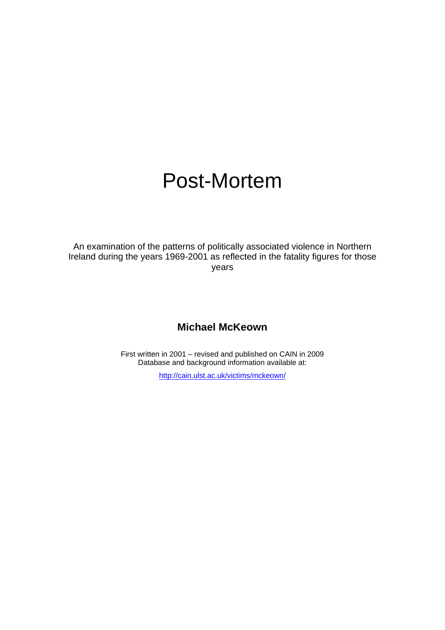# Post-Mortem

An examination of the patterns of politically associated violence in Northern Ireland during the years 1969-2001 as reflected in the fatality figures for those years

### **Michael McKeown**

First written in 2001 – revised and published on CAIN in 2009 Database and background information available at:

<http://cain.ulst.ac.uk/victims/mckeown/>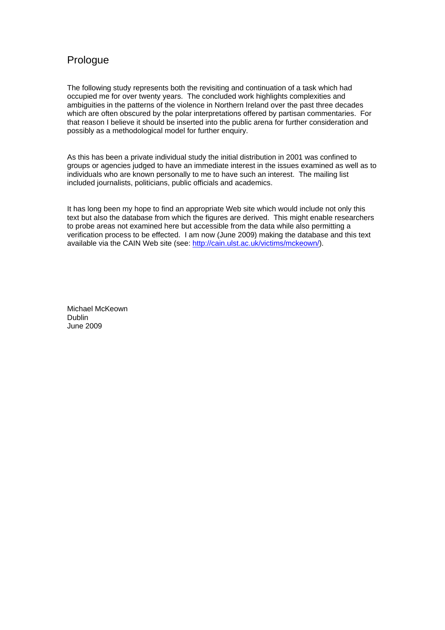### Prologue

The following study represents both the revisiting and continuation of a task which had occupied me for over twenty years. The concluded work highlights complexities and ambiguities in the patterns of the violence in Northern Ireland over the past three decades which are often obscured by the polar interpretations offered by partisan commentaries. For that reason I believe it should be inserted into the public arena for further consideration and possibly as a methodological model for further enquiry.

As this has been a private individual study the initial distribution in 2001 was confined to groups or agencies judged to have an immediate interest in the issues examined as well as to individuals who are known personally to me to have such an interest. The mailing list included journalists, politicians, public officials and academics.

It has long been my hope to find an appropriate Web site which would include not only this text but also the database from which the figures are derived. This might enable researchers to probe areas not examined here but accessible from the data while also permitting a verification process to be effected. I am now (June 2009) making the database and this text available via the CAIN Web site (see: <http://cain.ulst.ac.uk/victims/mckeown/>).

Michael McKeown Dublin June 2009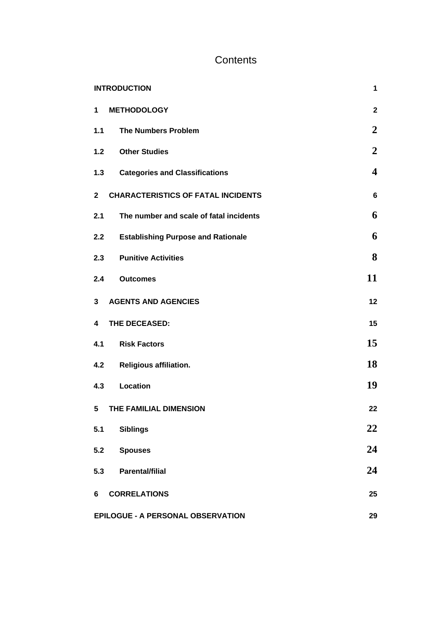# **Contents**

| <b>INTRODUCTION</b>                                       | $\mathbf 1$    |
|-----------------------------------------------------------|----------------|
| <b>METHODOLOGY</b><br>1                                   | $\mathbf{2}$   |
| <b>The Numbers Problem</b><br>1.1                         | $\overline{2}$ |
| 1.2<br><b>Other Studies</b>                               | $\overline{2}$ |
| <b>Categories and Classifications</b><br>1.3              | 4              |
| <b>CHARACTERISTICS OF FATAL INCIDENTS</b><br>$\mathbf{2}$ | 6              |
| 2.1<br>The number and scale of fatal incidents            | 6              |
| <b>Establishing Purpose and Rationale</b><br>2.2          | 6              |
| 2.3 Punitive Activities                                   | 8              |
| 2.4<br><b>Outcomes</b>                                    | 11             |
| <b>AGENTS AND AGENCIES</b><br>3                           | 12             |
| THE DECEASED:<br>4                                        | 15             |
| <b>Risk Factors</b><br>4.1                                | 15             |
| 4.2 Religious affiliation.                                | 18             |
| <b>Location</b><br>4.3                                    | 19             |
| THE FAMILIAL DIMENSION<br>5                               | 22             |
| <b>Siblings</b><br>5.1                                    | 22             |
| 5.2<br><b>Spouses</b>                                     | 24             |
| <b>Parental/filial</b><br>5.3                             | 24             |
| <b>CORRELATIONS</b><br>6                                  | 25             |
| EPILOGUE - A PERSONAL OBSERVATION                         | 29             |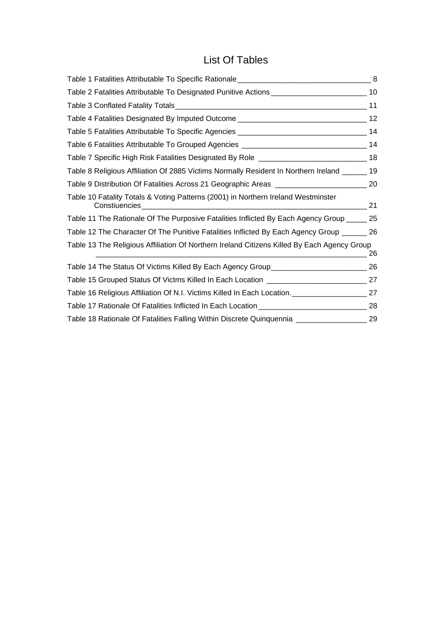# List Of Tables

| Table 2 Fatalities Attributable To Designated Punitive Actions _________________________________10 |    |
|----------------------------------------------------------------------------------------------------|----|
|                                                                                                    |    |
|                                                                                                    |    |
|                                                                                                    |    |
|                                                                                                    |    |
| Table 7 Specific High Risk Fatalities Designated By Role __________________________________18      |    |
| Table 8 Religious Affiliation Of 2885 Victims Normally Resident In Northern Ireland ______ 19      |    |
| Table 9 Distribution Of Fatalities Across 21 Geographic Areas ________________________________ 20  |    |
| Table 10 Fatality Totals & Voting Patterns (2001) in Northern Ireland Westminster                  |    |
| Table 11 The Rationale Of The Purposive Fatalities Inflicted By Each Agency Group _____ 25         |    |
| Table 12 The Character Of The Punitive Fatalities Inflicted By Each Agency Group _______ 26        |    |
| Table 13 The Religious Affiliation Of Northern Ireland Citizens Killed By Each Agency Group        | 26 |
| Table 14 The Status Of Victims Killed By Each Agency Group______________________                   | 26 |
| Table 15 Grouped Status Of Victms Killed In Each Location _______________________________27        |    |
| Table 16 Religious Affiliation Of N.I. Victims Killed In Each Location. [1001] 27 27               |    |
| Table 17 Rationale Of Fatalities Inflicted In Each Location _____________________                  | 28 |
| Table 18 Rationale Of Fatalities Falling Within Discrete Quinquennia ______________________29      |    |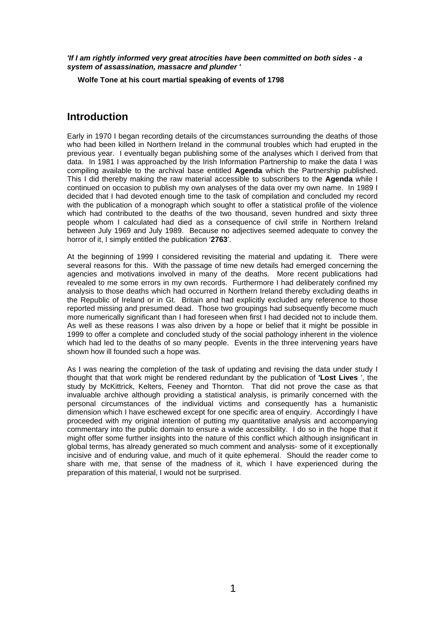*'If I am rightly informed very great atrocities have been committed on both sides - a system of assassination, massacre and plunder '* 

**Wolfe Tone at his court martial speaking of events of 1798** 

### <span id="page-4-0"></span>**Introduction**

Early in 1970 I began recording details of the circumstances surrounding the deaths of those who had been killed in Northern Ireland in the communal troubles which had erupted in the previous year. I eventually began publishing some of the analyses which I derived from that data. In 1981 I was approached by the Irish Information Partnership to make the data I was compiling available to the archival base entitled **Agenda** which the Partnership published. This I did thereby making the raw material accessible to subscribers to the **Agenda** while I continued on occasion to publish my own analyses of the data over my own name. In 1989 I decided that I had devoted enough time to the task of compilation and concluded my record with the publication of a monograph which sought to offer a statistical profile of the violence which had contributed to the deaths of the two thousand, seven hundred and sixty three people whom I calculated had died as a consequence of civil strife in Northern Ireland between July 1969 and July 1989. Because no adjectives seemed adequate to convey the horror of it, I simply entitled the publication '**2763**'.

At the beginning of 1999 I considered revisiting the material and updating it. There were several reasons for this. With the passage of time new details had emerged concerning the agencies and motivations involved in many of the deaths. More recent publications had revealed to me some errors in my own records. Furthermore I had deliberately confined my analysis to those deaths which had occurred in Northern Ireland thereby excluding deaths in the Republic of Ireland or in Gt. Britain and had explicitly excluded any reference to those reported missing and presumed dead. Those two groupings had subsequently become much more numerically significant than I had foreseen when first I had decided not to include them. As well as these reasons I was also driven by a hope or belief that it might be possible in 1999 to offer a complete and concluded study of the social pathology inherent in the violence which had led to the deaths of so many people. Events in the three intervening years have shown how ill founded such a hope was.

As I was nearing the completion of the task of updating and revising the data under study I thought that that work might be rendered redundant by the publication of **'Lost Lives** ', the study by McKittrick, Kelters, Feeney and Thornton. That did not prove the case as that invaluable archive although providing a statistical analysis, is primarily concerned with the personal circumstances of the individual victims and consequently has a humanistic dimension which I have eschewed except for one specific area of enquiry. Accordingly I have proceeded with my original intention of putting my quantitative analysis and accompanying commentary into the public domain to ensure a wide accessibility. I do so in the hope that it might offer some further insights into the nature of this conflict which although insignificant in global terms, has already generated so much comment and analysis- some of it exceptionally incisive and of enduring value, and much of it quite ephemeral. Should the reader come to share with me, that sense of the madness of it, which I have experienced during the preparation of this material, I would not be surprised.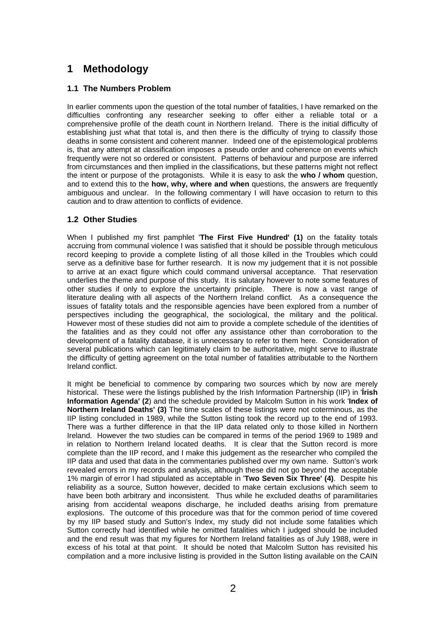## <span id="page-5-0"></span>**1 Methodology**

#### <span id="page-5-1"></span>**1.1 The Numbers Problem**

In earlier comments upon the question of the total number of fatalities, I have remarked on the difficulties confronting any researcher seeking to offer either a reliable total or a comprehensive profile of the death count in Northern Ireland. There is the initial difficulty of establishing just what that total is, and then there is the difficulty of trying to classify those deaths in some consistent and coherent manner. Indeed one of the epistemological problems is, that any attempt at classification imposes a pseudo order and coherence on events which frequently were not so ordered or consistent. Patterns of behaviour and purpose are inferred from circumstances and then implied in the classifications, but these patterns might not reflect the intent or purpose of the protagonists. While it is easy to ask the **who / whom** question, and to extend this to the **how, why, where and when** questions, the answers are frequently ambiguous and unclear. In the following commentary I will have occasion to return to this caution and to draw attention to conflicts of evidence.

#### <span id="page-5-2"></span>**1.2 Other Studies**

When I published my first pamphlet '**The First Five Hundred' (1)** on the fatality totals accruing from communal violence I was satisfied that it should be possible through meticulous record keeping to provide a complete listing of all those killed in the Troubles which could serve as a definitive base for further research. It is now my judgement that it is not possible to arrive at an exact figure which could command universal acceptance. That reservation underlies the theme and purpose of this study. It is salutary however to note some features of other studies if only to explore the uncertainty principle. There is now a vast range of literature dealing with all aspects of the Northern Ireland conflict. As a consequence the issues of fatality totals and the responsible agencies have been explored from a number of perspectives including the geographical, the sociological, the military and the political. However most of these studies did not aim to provide a complete schedule of the identities of the fatalities and as they could not offer any assistance other than corroboration to the development of a fatality database, it is unnecessary to refer to them here. Consideration of several publications which can legitimately claim to be authoritative, might serve to illustrate the difficulty of getting agreement on the total number of fatalities attributable to the Northern Ireland conflict.

It might be beneficial to commence by comparing two sources which by now are merely historical. These were the listings published by the Irish Information Partnership (IIP) in '**Írish Information Agenda' (2**) and the schedule provided by Malcolm Sutton in his work '**Index of Northern Ireland Deaths' (3)** The time scales of these listings were not coterminous, as the IIP listing concluded in 1989, while the Sutton listing took the record up to the end of 1993. There was a further difference in that the IIP data related only to those killed in Northern Ireland. However the two studies can be compared in terms of the period 1969 to 1989 and in relation to Northern Ireland located deaths. It is clear that the Sutton record is more complete than the IIP record, and I make this judgement as the researcher who compiled the IIP data and used that data in the commentaries published over my own name. Sutton's work revealed errors in my records and analysis, although these did not go beyond the acceptable 1% margin of error I had stipulated as acceptable in '**Two Seven Six Three' (4)**. Despite his reliability as a source, Sutton however, decided to make certain exclusions which seem to have been both arbitrary and inconsistent. Thus while he excluded deaths of paramilitaries arising from accidental weapons discharge, he included deaths arising from premature explosions. The outcome of this procedure was that for the common period of time covered by my IIP based study and Sutton's Index, my study did not include some fatalities which Sutton correctly had identified while he omitted fatalities which I judged should be included and the end result was that my figures for Northern Ireland fatalities as of July 1988, were in excess of his total at that point. It should be noted that Malcolm Sutton has revisited his compilation and a more inclusive listing is provided in the Sutton listing available on the CAIN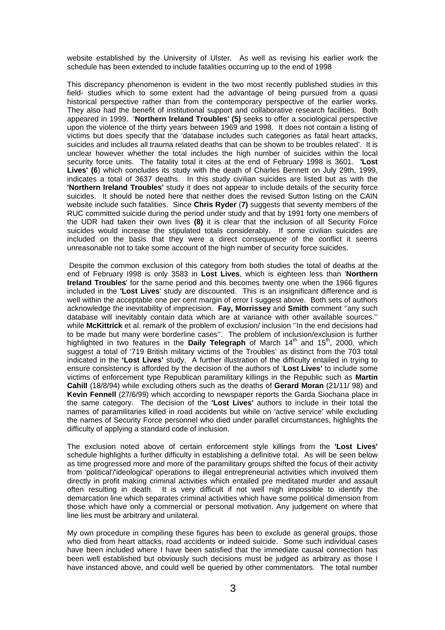website established by the University of Ulster. As well as revising his earlier work the schedule has been extended to include fatalities occurring up to the end of 1998

This discrepancy phenomenon is evident in the two most recently published studies in this field- studies which to some extent had the advantage of being pursued from a quasi historical perspective rather than from the contemporary perspective of the earlier works. They also had the benefit of institutional support and collaborative research facilities. Both appeared in 1999. '**Northern Ireland Troubles' (5)** seeks to offer a sociological perspective upon the violence of the thirty years between 1969 and 1998. It does not contain a listing of victims but does specify that the 'database includes such categories as fatal heart attacks, suicides and includes all trauma related deaths that can be shown to be troubles related'. It is unclear however whether the total includes the high number of suicides within the local security force units. The fatality total it cites at the end of February 1998 is 3601. **'Lost Lives' (6**) which concludes its study with the death of Charles Bennett on July 29th, 1999, indicates a total of 3637 deaths. In this study civilian suicides are listed but as with the **'Northern Ireland Troubles'** study it does not appear to include details of the security force suicides. It should be noted here that neither does the revised Sutton listing on the CAIN website include such fatalities. Since **Chris Ryder** (**7)** suggests that seventy members of the RUC committed suicide during the period under study and that by 1991 forty one members of the UDR had taken their own lives **(8)** it is clear that the inclusion of all Security Force suicides would increase the stipulated totals considerably. If some civilian suicides are included on the basis that they were a direct consequence of the conflict it seems unreasonable not to take some account of the high number of security force suicides.

 Despite the common exclusion of this category from both studies the total of deaths at the end of February I998 is only 3583 in **Lost Lives**, which is eighteen less than '**Northern Ireland Troubles**' for the same period and this becomes twenty one when the 1966 figures included in the **'Lost Lives**' study are discounted. This is an insignificant difference and is well within the acceptable one per cent margin of error I suggest above. Both sets of authors acknowledge the inevitability of imprecision. **Fay, Morrissey** and **Smith** comment ''any such database will inevitably contain data which are at variance with other available sources.'' while **McKittrick** et al. remark of the problem of exclusion/ inclusion ''In the end decisions had to be made but many were borderline cases''. The problem of inclusion/exclusion is further highlighted in two features in the **Daily Telegraph** of March 14<sup>th</sup> and 15<sup>th</sup>, 2000, which suggest a total of '719 British military victims of the Troubles' as distinct from the 703 total indicated in the **'Lost Lives'** study. A further illustration of the difficulty entailed in trying to ensure consistency is afforded by the decision of the authors of '**Lost Lives'** to include some victims of enforcement type Republican paramilitary killings in the Republic such as **Martin Cahill** (18/8/94) while excluding others such as the deaths of **Gerard Moran** (21/11/ 98) and **Kevin Fennell** (27/6/99) which according to newspaper reports the Garda Siochana place in the same category. The decision of the **'Lost Lives'** authors to include in their total the names of paramilitaries killed in road accidents but while on 'active service' while excluding the names of Security Force personnel who died under parallel circumstances, highlights the difficulty of applying a standard code of inclusion.

The exclusion noted above of certain enforcement style killings from the **'Lost Lives'** schedule highlights a further difficulty in establishing a definitive total. As will be seen below as time progressed more and more of the paramilitary groups shifted the focus of their activity from 'political'/'ideological' operations to illegal entrepreneurial activities which involved them directly in profit making criminal activities which entailed pre meditated murder and assault often resulting in death. It is very difficult if not well nigh impossible to identify the demarcation line which separates criminal activities which have some political dimension from those which have only a commercial or personal motivation. Any judgement on where that line lies must be arbitrary and unilateral.

My own procedure in compiling these figures has been to exclude as general groups, those who died from heart attacks, road accidents or indeed suicide. Some such individual cases have been included where I have been satisfied that the immediate causal connection has been well established but obviously such decisions must be judged as arbitrary as those I have instanced above, and could well be queried by other commentators. The total number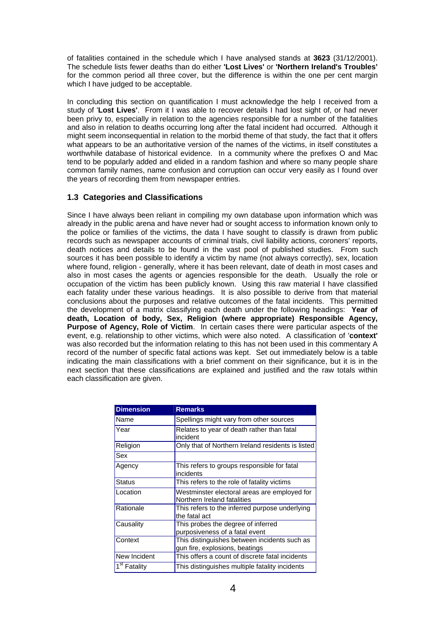of fatalities contained in the schedule which I have analysed stands at **3623** (31/12/2001). The schedule lists fewer deaths than do either **'Lost Lives'** or **'Northern Ireland's Troubles'** for the common period all three cover, but the difference is within the one per cent margin which I have judged to be acceptable.

In concluding this section on quantification I must acknowledge the help I received from a study of '**Lost Lives'**. From it I was able to recover details I had lost sight of, or had never been privy to, especially in relation to the agencies responsible for a number of the fatalities and also in relation to deaths occurring long after the fatal incident had occurred. Although it might seem inconsequential in relation to the morbid theme of that study, the fact that it offers what appears to be an authoritative version of the names of the victims, in itself constitutes a worthwhile database of historical evidence. In a community where the prefixes O and Mac tend to be popularly added and elided in a random fashion and where so many people share common family names, name confusion and corruption can occur very easily as I found over the years of recording them from newspaper entries.

#### <span id="page-7-0"></span>**1.3 Categories and Classifications**

Since I have always been reliant in compiling my own database upon information which was already in the public arena and have never had or sought access to information known only to the police or families of the victims, the data I have sought to classify is drawn from public records such as newspaper accounts of criminal trials, civil liability actions, coroners' reports, death notices and details to be found in the vast pool of published studies. From such sources it has been possible to identify a victim by name (not always correctly), sex, location where found, religion - generally, where it has been relevant, date of death in most cases and also in most cases the agents or agencies responsible for the death. Usually the role or occupation of the victim has been publicly known. Using this raw material I have classified each fatality under these various headings. It is also possible to derive from that material conclusions about the purposes and relative outcomes of the fatal incidents. This permitted the development of a matrix classifying each death under the following headings: **Year of death, Location of body, Sex, Religion (where appropriate) Responsible Agency, Purpose of Agency, Role of Victim**. In certain cases there were particular aspects of the event, e.g. relationship to other victims, which were also noted. A classification of '**context'**  was also recorded but the information relating to this has not been used in this commentary A record of the number of specific fatal actions was kept. Set out immediately below is a table indicating the main classifications with a brief comment on their significance, but it is in the next section that these classifications are explained and justified and the raw totals within each classification are given.

| <b>Dimension</b>         | <b>Remarks</b>                                                                 |
|--------------------------|--------------------------------------------------------------------------------|
| Name                     | Spellings might vary from other sources                                        |
| Year                     | Relates to year of death rather than fatal<br>incident                         |
| Religion                 | Only that of Northern Ireland residents is listed                              |
| Sex                      |                                                                                |
| Agency                   | This refers to groups responsible for fatal<br>incidents                       |
| <b>Status</b>            | This refers to the role of fatality victims                                    |
| Location                 | Westminster electoral areas are employed for<br>Northern Ireland fatalities    |
| Rationale                | This refers to the inferred purpose underlying<br>the fatal act                |
| Causality                | This probes the degree of inferred<br>purposiveness of a fatal event           |
| Context                  | This distinguishes between incidents such as<br>gun fire, explosions, beatings |
| New Incident             | This offers a count of discrete fatal incidents                                |
| 1 <sup>st</sup> Fatality | This distinguishes multiple fatality incidents                                 |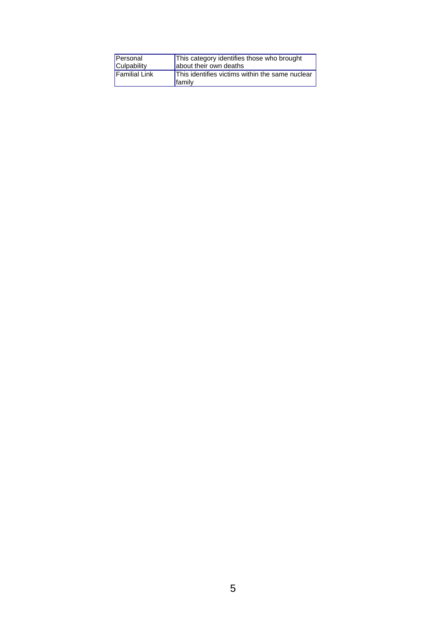| Personal      | This category identifies those who brought                |
|---------------|-----------------------------------------------------------|
| Culpability   | about their own deaths                                    |
| Familial Link | This identifies victims within the same nuclear<br>family |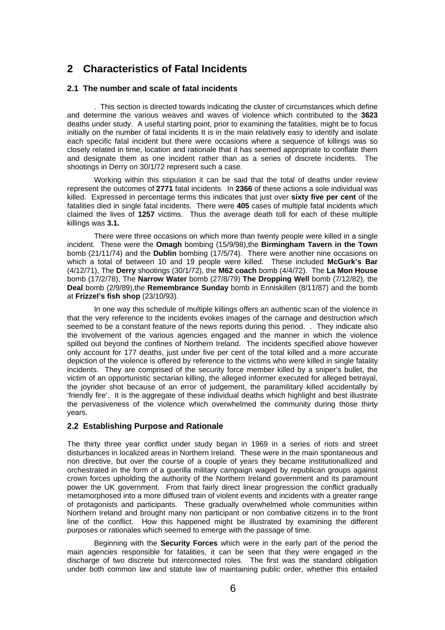### <span id="page-9-0"></span>**2 Characteristics of Fatal Incidents**

#### <span id="page-9-1"></span>**2.1 The number and scale of fatal incidents**

. This section is directed towards indicating the cluster of circumstances which define and determine the various weaves and waves of violence which contributed to the **3623**  deaths under study. A useful starting point, prior to examining the fatalities, might be to focus initially on the number of fatal incidents It is in the main relatively easy to identify and isolate each specific fatal incident but there were occasions where a sequence of killings was so closely related in time, location and rationale that it has seemed appropriate to conflate them and designate them as one incident rather than as a series of discrete incidents. The shootings in Derry on 30/1/72 represent such a case.

Working within this stipulation it can be said that the total of deaths under review represent the outcomes of **2771** fatal incidents. In **2366** of these actions a sole individual was killed. Expressed in percentage terms this indicates that just over **sixty five per cent** of the fatalities died in single fatal incidents. There were **405** cases of multiple fatal incidents which claimed the lives of **1257** victims. Thus the average death toll for each of these multiple killings was **3.1.** 

There were three occasions on which more than twenty people were killed in a single incident. These were the **Omagh** bombing (15/9/98),the **Birmingham Tavern in the Town** bomb (21/11/74) and the **Dublin** bombing (17/5/74). There were another nine occasions on which a total of between 10 and 19 people were killed. These included **McGurk's Bar**  (4/12/71), The **Derry** shootings (30/1/72), the **M62 coach** bomb (4/4/72). The **La Mon House** bomb (17/2/78), The **Narrow Water** bomb (27/8/79) **The Dropping Well** bomb (7/12/82), the **Deal** bomb (2/9/89), the **Remembrance Sunday** bomb in Enniskillen (8/11/87) and the bomb at **Frizzel's fish shop** (23/10/93).

In one way this schedule of multiple killings offers an authentic scan of the violence in that the very reference to the incidents evokes images of the carnage and destruction which seemed to be a constant feature of the news reports during this period. . They indicate also the involvement of the various agencies engaged and the manner in which the violence spilled out beyond the confines of Northern Ireland. The incidents specified above however only account for 177 deaths, just under five per cent of the total killed and a more accurate depiction of the violence is offered by reference to the victims who were killed in single fatality incidents. They are comprised of the security force member killed by a sniper's bullet, the victim of an opportunistic sectarian killing, the alleged informer executed for alleged betrayal, the joyrider shot because of an error of judgement, the paramilitary killed accidentally by 'friendly fire'. It is the aggregate of these individual deaths which highlight and best illustrate the pervasiveness of the violence which overwhelmed the community during those thirty years.

#### <span id="page-9-2"></span>**2.2 Establishing Purpose and Rationale**

The thirty three year conflict under study began in 1969 in a series of riots and street disturbances in localized areas in Northern Ireland. These were in the main spontaneous and non directive, but over the course of a couple of years they became institutionallized and orchestrated in the form of a guerilla military campaign waged by republican groups against crown forces upholding the authority of the Northern Ireland government and its paramount power the UK government. From that fairly direct linear progression the conflict gradually metamorphosed into a more diffused train of violent events and incidents with a greater range of protagonists and participants. These gradually overwhelmed whole communities within Northern Ireland and brought many non participant or non combative citizens in to the front line of the conflict. How this happened might be illustrated by examining the different purposes or rationales which seemed to emerge with the passage of time.

Beginning with the **Security Forces** which were in the early part of the period the main agencies responsible for fatalities, it can be seen that they were engaged in the discharge of two discrete but interconnected roles. The first was the standard obligation under both common law and statute law of maintaining public order, whether this entailed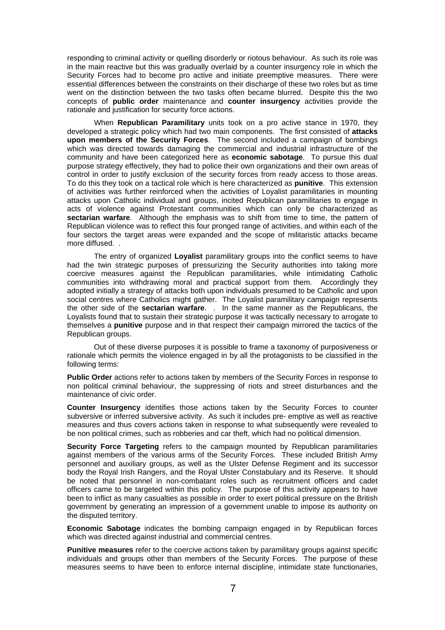responding to criminal activity or quelling disorderly or riotous behaviour. As such its role was in the main reactive but this was gradually overlaid by a counter insurgency role in which the Security Forces had to become pro active and initiate preemptive measures. There were essential differences between the constraints on their discharge of these two roles but as time went on the distinction between the two tasks often became blurred. Despite this the two concepts of **public order** maintenance and **counter insurgency** activities provide the rationale and justification for security force actions.

When **Republican Paramilitary** units took on a pro active stance in 1970, they developed a strategic policy which had two main components. The first consisted of **attacks upon members of the Security Forces**. The second included a campaign of bombings which was directed towards damaging the commercial and industrial infrastructure of the community and have been categorized here as **economic sabotage**. To pursue this dual purpose strategy effectively, they had to police their own organizations and their own areas of control in order to justify exclusion of the security forces from ready access to those areas. To do this they took on a tactical role which is here characterized as **punitive**. This extension of activities was further reinforced when the activities of Loyalist paramilitaries in mounting attacks upon Catholic individual and groups, incited Republican paramilitaries to engage in acts of violence against Protestant communities which can only be characterized as **sectarian warfare**. Although the emphasis was to shift from time to time, the pattern of Republican violence was to reflect this four pronged range of activities, and within each of the four sectors the target areas were expanded and the scope of militaristic attacks became more diffused. .

The entry of organized **Loyalist** paramilitary groups into the conflict seems to have had the twin strategic purposes of pressurizing the Security authorities into taking more coercive measures against the Republican paramilitaries, while intimidating Catholic communities into withdrawing moral and practical support from them. Accordingly they adopted initially a strategy of attacks both upon individuals presumed to be Catholic and upon social centres where Catholics might gather. The Loyalist paramilitary campaign represents the other side of the **sectarian warfare**. . In the same manner as the Republicans, the Loyalists found that to sustain their strategic purpose it was tactically necessary to arrogate to themselves a **punitive** purpose and in that respect their campaign mirrored the tactics of the Republican groups.

Out of these diverse purposes it is possible to frame a taxonomy of purposiveness or rationale which permits the violence engaged in by all the protagonists to be classified in the following terms:

**Public Order** actions refer to actions taken by members of the Security Forces in response to non political criminal behaviour, the suppressing of riots and street disturbances and the maintenance of civic order.

**Counter Insurgency** identifies those actions taken by the Security Forces to counter subversive or inferred subversive activity. As such it includes pre- emptive as well as reactive measures and thus covers actions taken in response to what subsequently were revealed to be non political crimes, such as robberies and car theft, which had no political dimension.

**Security Force Targeting** refers to the campaign mounted by Republican paramilitaries against members of the various arms of the Security Forces. These included British Army personnel and auxiliary groups, as well as the Ulster Defense Regiment and its successor body the Royal Irish Rangers, and the Royal Ulster Constabulary and its Reserve. It should be noted that personnel in non-combatant roles such as recruitment officers and cadet officers came to be targeted within this policy. The purpose of this activity appears to have been to inflict as many casualties as possible in order to exert political pressure on the British government by generating an impression of a government unable to impose its authority on the disputed territory.

**Economic Sabotage** indicates the bombing campaign engaged in by Republican forces which was directed against industrial and commercial centres.

**Punitive measures** refer to the coercive actions taken by paramilitary groups against specific individuals and groups other than members of the Security Forces. The purpose of these measures seems to have been to enforce internal discipline, intimidate state functionaries,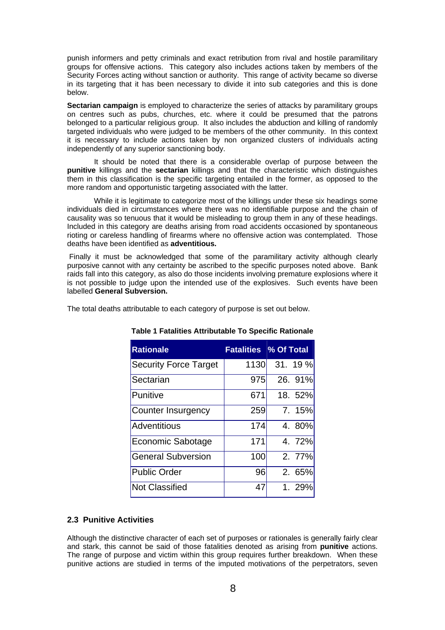punish informers and petty criminals and exact retribution from rival and hostile paramilitary groups for offensive actions. This category also includes actions taken by members of the Security Forces acting without sanction or authority. This range of activity became so diverse in its targeting that it has been necessary to divide it into sub categories and this is done below.

**Sectarian campaign** is employed to characterize the series of attacks by paramilitary groups on centres such as pubs, churches, etc. where it could be presumed that the patrons belonged to a particular religious group. It also includes the abduction and killing of randomly targeted individuals who were judged to be members of the other community. In this context it is necessary to include actions taken by non organized clusters of individuals acting independently of any superior sanctioning body.

It should be noted that there is a considerable overlap of purpose between the **punitive** killings and the **sectarian** killings and that the characteristic which distinguishes them in this classification is the specific targeting entailed in the former, as opposed to the more random and opportunistic targeting associated with the latter.

While it is legitimate to categorize most of the killings under these six headings some individuals died in circumstances where there was no identifiable purpose and the chain of causality was so tenuous that it would be misleading to group them in any of these headings. Included in this category are deaths arising from road accidents occasioned by spontaneous rioting or careless handling of firearms where no offensive action was contemplated. Those deaths have been identified as **adventitious.** 

 Finally it must be acknowledged that some of the paramilitary activity although clearly purposive cannot with any certainty be ascribed to the specific purposes noted above. Bank raids fall into this category, as also do those incidents involving premature explosions where it is not possible to judge upon the intended use of the explosives. Such events have been labelled **General Subversion.** 

<span id="page-11-1"></span>

|  | The total deaths attributable to each category of purpose is set out below. |  |
|--|-----------------------------------------------------------------------------|--|
|  |                                                                             |  |

| <b>Rationale</b>             |      | <b>Fatalities % Of Total</b> |
|------------------------------|------|------------------------------|
| <b>Security Force Target</b> | 1130 | 31.19%                       |
| Sectarian                    | 975  | 26. 91%                      |
| Punitive                     | 671  | 18. 52%                      |
| Counter Insurgency           | 259  | 7.15%                        |
| Adventitious                 | 174  | 4.80%                        |
| <b>Economic Sabotage</b>     | 171  | 4. 72%                       |
| <b>General Subversion</b>    | 100  | 2. 77%                       |
| <b>Public Order</b>          | 96   | 2. 65%                       |
| <b>Not Classified</b>        | 47   | 1.29%                        |

**Table 1 Fatalities Attributable To Specific Rationale**

#### <span id="page-11-0"></span>**2.3 Punitive Activities**

Although the distinctive character of each set of purposes or rationales is generally fairly clear and stark, this cannot be said of those fatalities denoted as arising from **punitive** actions. The range of purpose and victim within this group requires further breakdown. When these punitive actions are studied in terms of the imputed motivations of the perpetrators, seven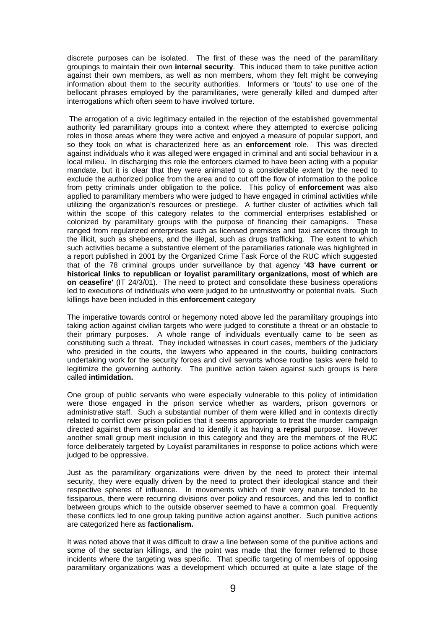discrete purposes can be isolated. The first of these was the need of the paramilitary groupings to maintain their own **internal security**. This induced them to take punitive action against their own members, as well as non members, whom they felt might be conveying information about them to the security authorities. Informers or 'touts' to use one of the bellocant phrases employed by the paramilitaries, were generally killed and dumped after interrogations which often seem to have involved torture.

 The arrogation of a civic legitimacy entailed in the rejection of the established governmental authority led paramilitary groups into a context where they attempted to exercise policing roles in those areas where they were active and enjoyed a measure of popular support, and so they took on what is characterized here as an **enforcement** role. This was directed against individuals who it was alleged were engaged in criminal and anti social behaviour in a local milieu. In discharging this role the enforcers claimed to have been acting with a popular mandate, but it is clear that they were animated to a considerable extent by the need to exclude the authorized police from the area and to cut off the flow of information to the police from petty criminals under obligation to the police. This policy of **enforcement** was also applied to paramilitary members who were judged to have engaged in criminal activities while utilizing the organization's resources or prestiege. A further cluster of activities which fall within the scope of this category relates to the commercial enterprises established or colonized by paramilitary groups with the purpose of financing their camapigns. These ranged from regularized enterprises such as licensed premises and taxi services through to the illicit, such as shebeens, and the illegal, such as drugs trafficking. The extent to which such activities became a substantive element of the paramiliaries rationale was highlighted in a report published in 2001 by the Organized Crime Task Force of the RUC which suggested that of the 78 criminal groups under surveillance by that agency **'43 have current or historical links to republican or loyalist paramilitary organizations, most of which are on ceasefire'** (IT 24/3/01). The need to protect and consolidate these business operations led to executions of individuals who were judged to be untrustworthy or potential rivals. Such killings have been included in this **enforcement** category

The imperative towards control or hegemony noted above led the paramilitary groupings into taking action against civilian targets who were judged to constitute a threat or an obstacle to their primary purposes. A whole range of individuals eventually came to be seen as constituting such a threat. They included witnesses in court cases, members of the judiciary who presided in the courts, the lawyers who appeared in the courts, building contractors undertaking work for the security forces and civil servants whose routine tasks were held to legitimize the governing authority. The punitive action taken against such groups is here called **intimidation.** 

One group of public servants who were especially vulnerable to this policy of intimidation were those engaged in the prison service whether as warders, prison governors or administrative staff. Such a substantial number of them were killed and in contexts directly related to conflict over prison policies that it seems appropriate to treat the murder campaign directed against them as singular and to identify it as having a **reprisal** purpose. However another small group merit inclusion in this category and they are the members of the RUC force deliberately targeted by Loyalist paramilitaries in response to police actions which were judged to be oppressive.

Just as the paramilitary organizations were driven by the need to protect their internal security, they were equally driven by the need to protect their ideological stance and their respective spheres of influence. In movements which of their very nature tended to be fissiparous, there were recurring divisions over policy and resources, and this led to conflict between groups which to the outside observer seemed to have a common goal. Frequently these conflicts led to one group taking punitive action against another. Such punitive actions are categorized here as **factionalism.** 

It was noted above that it was difficult to draw a line between some of the punitive actions and some of the sectarian killings, and the point was made that the former referred to those incidents where the targeting was specific. That specific targeting of members of opposing paramilitary organizations was a development which occurred at quite a late stage of the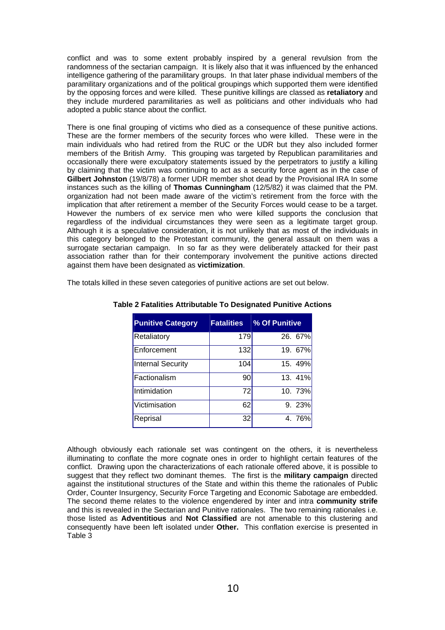conflict and was to some extent probably inspired by a general revulsion from the randomness of the sectarian campaign. It is likely also that it was influenced by the enhanced intelligence gathering of the paramilitary groups. In that later phase individual members of the paramilitary organizations and of the political groupings which supported them were identified by the opposing forces and were killed. These punitive killings are classed as **retaliatory** and they include murdered paramilitaries as well as politicians and other individuals who had adopted a public stance about the conflict.

There is one final grouping of victims who died as a consequence of these punitive actions. These are the former members of the security forces who were killed. These were in the main individuals who had retired from the RUC or the UDR but they also included former members of the British Army. This grouping was targeted by Republican paramilitaries and occasionally there were exculpatory statements issued by the perpetrators to justify a killing by claiming that the victim was continuing to act as a security force agent as in the case of **Gilbert Johnston** (19/8/78) a former UDR member shot dead by the Provisional IRA In some instances such as the killing of **Thomas Cunningham** (12/5/82) it was claimed that the PM. organization had not been made aware of the victim's retirement from the force with the implication that after retirement a member of the Security Forces would cease to be a target. However the numbers of ex service men who were killed supports the conclusion that regardless of the individual circumstances they were seen as a legitimate target group. Although it is a speculative consideration, it is not unlikely that as most of the individuals in this category belonged to the Protestant community, the general assault on them was a surrogate sectarian campaign. In so far as they were deliberately attacked for their past association rather than for their contemporary involvement the punitive actions directed against them have been designated as **victimization**.

<span id="page-13-0"></span>The totals killed in these seven categories of punitive actions are set out below.

| <b>Punitive Category</b> | <b>Fatalities</b> | % Of Punitive |
|--------------------------|-------------------|---------------|
| Retaliatory              | 179               | 26. 67%       |
| Enforcement              | 132               | 19. 67%       |
| <b>Internal Security</b> | 104               | 15. 49%       |
| Factionalism             | 90                | 13. 41%       |
| Intimidation             | 72                | 10. 73%       |
| Victimisation            | 62                | 9.23%         |
| Reprisal                 | 32                | 4.76%         |

#### **Table 2 Fatalities Attributable To Designated Punitive Actions**

Although obviously each rationale set was contingent on the others, it is nevertheless illuminating to conflate the more cognate ones in order to highlight certain features of the conflict. Drawing upon the characterizations of each rationale offered above, it is possible to suggest that they reflect two dominant themes. The first is the **military campaign** directed against the institutional structures of the State and within this theme the rationales of Public Order, Counter Insurgency, Security Force Targeting and Economic Sabotage are embedded. The second theme relates to the violence engendered by inter and intra **community strife** and this is revealed in the Sectarian and Punitive rationales. The two remaining rationales i.e. those listed as **Adventitious** and **Not Classified** are not amenable to this clustering and consequently have been left isolated under **Other.** This conflation exercise is presented in Table 3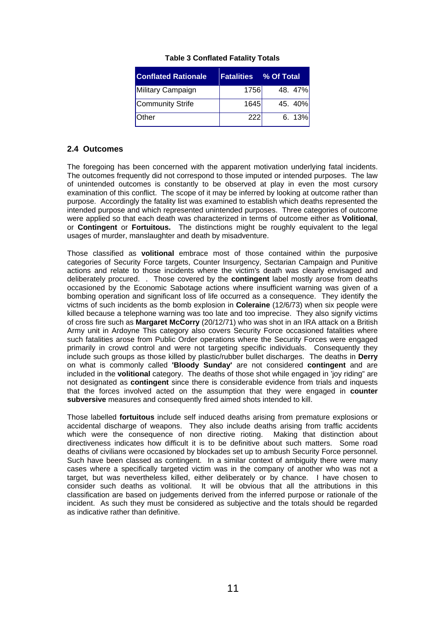| <b>Conflated Rationale</b> | <b>Fatalities</b> | <b>M</b> Of Total |
|----------------------------|-------------------|-------------------|
| Military Campaign          | 1756              | 48. 47%           |
| Community Strife           | 1645              | 45. 40%           |
| <b>Other</b>               | 222               | 6.13%             |

#### **Table 3 Conflated Fatality Totals**

#### <span id="page-14-1"></span><span id="page-14-0"></span>**2.4 Outcomes**

The foregoing has been concerned with the apparent motivation underlying fatal incidents. The outcomes frequently did not correspond to those imputed or intended purposes. The law of unintended outcomes is constantly to be observed at play in even the most cursory examination of this conflict. The scope of it may be inferred by looking at outcome rather than purpose. Accordingly the fatality list was examined to establish which deaths represented the intended purpose and which represented unintended purposes. Three categories of outcome were applied so that each death was characterized in terms of outcome either as **Volitional**, or **Contingent** or **Fortuitous.** The distinctions might be roughly equivalent to the legal usages of murder, manslaughter and death by misadventure.

Those classified as **volitional** embrace most of those contained within the purposive categories of Security Force targets, Counter Insurgency, Sectarian Campaign and Punitive actions and relate to those incidents where the victim's death was clearly envisaged and deliberately procured. . Those covered by the **contingent** label mostly arose from deaths occasioned by the Economic Sabotage actions where insufficient warning was given of a bombing operation and significant loss of life occurred as a consequence. They identify the victms of such incidents as the bomb explosion in **Coleraine** (12/6/73) when six people were killed because a telephone warning was too late and too imprecise. They also signify victims of cross fire such as **Margaret McCorry** (20/12/71) who was shot in an IRA attack on a British Army unit in Ardoyne This category also covers Security Force occasioned fatalities where such fatalities arose from Public Order operations where the Security Forces were engaged primarily in crowd control and were not targeting specific individuals. Consequently they include such groups as those killed by plastic/rubber bullet discharges. The deaths in **Derry** on what is commonly called **'Bloody Sunday'** are not considered **contingent** and are included in the **volitional** category. The deaths of those shot while engaged in 'joy riding" are not designated as **contingent** since there is considerable evidence from trials and inquests that the forces involved acted on the assumption that they were engaged in **counter subversive** measures and consequently fired aimed shots intended to kill.

Those labelled **fortuitous** include self induced deaths arising from premature explosions or accidental discharge of weapons. They also include deaths arising from traffic accidents which were the consequence of non directive rioting. Making that distinction about directiveness indicates how difficult it is to be definitive about such matters. Some road deaths of civilians were occasioned by blockades set up to ambush Security Force personnel. Such have been classed as contingent. In a similar context of ambiguity there were many cases where a specifically targeted victim was in the company of another who was not a target, but was nevertheless killed, either deliberately or by chance. I have chosen to consider such deaths as volitional. It will be obvious that all the attributions in this classification are based on judgements derived from the inferred purpose or rationale of the incident. As such they must be considered as subjective and the totals should be regarded as indicative rather than definitive.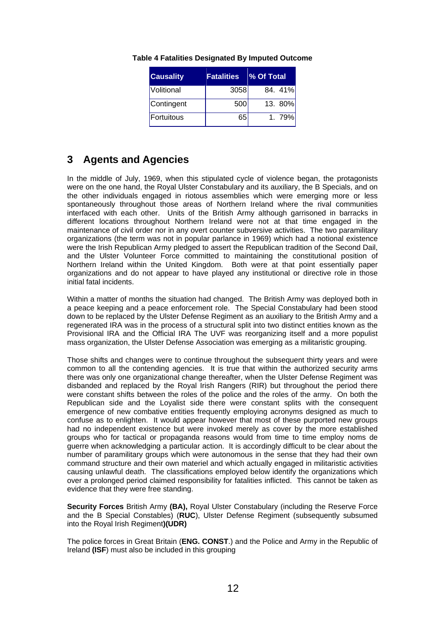| <b>Causality</b> | <b>Fatalities</b> | % Of Total |
|------------------|-------------------|------------|
| Volitional       | 3058              | 84. 41%    |
| Contingent       | 500               | 13. 80%    |
| Fortuitous       | 65                | 1.79%      |

**Table 4 Fatalities Designated By Imputed Outcome** 

### <span id="page-15-1"></span><span id="page-15-0"></span>**3 Agents and Agencies**

In the middle of July, 1969, when this stipulated cycle of violence began, the protagonists were on the one hand, the Royal Ulster Constabulary and its auxiliary, the B Specials, and on the other individuals engaged in riotous assemblies which were emerging more or less spontaneously throughout those areas of Northern Ireland where the rival communities interfaced with each other. Units of the British Army although garrisoned in barracks in different locations throughout Northern Ireland were not at that time engaged in the maintenance of civil order nor in any overt counter subversive activities. The two paramilitary organizations (the term was not in popular parlance in 1969) which had a notional existence were the Irish Republican Army pledged to assert the Republican tradition of the Second Dail, and the Ulster Volunteer Force committed to maintaining the constitutional position of Northern Ireland within the United Kingdom. Both were at that point essentially paper organizations and do not appear to have played any institutional or directive role in those initial fatal incidents.

Within a matter of months the situation had changed. The British Army was deployed both in a peace keeping and a peace enforcement role. The Special Constabulary had been stood down to be replaced by the Ulster Defense Regiment as an auxiliary to the British Army and a regenerated IRA was in the process of a structural split into two distinct entities known as the Provisional IRA and the Official IRA The UVF was reorganizing itself and a more populist mass organization, the Ulster Defense Association was emerging as a militaristic grouping.

Those shifts and changes were to continue throughout the subsequent thirty years and were common to all the contending agencies. It is true that within the authorized security arms there was only one organizational change thereafter, when the Ulster Defense Regiment was disbanded and replaced by the Royal Irish Rangers (RIR) but throughout the period there were constant shifts between the roles of the police and the roles of the army. On both the Republican side and the Loyalist side there were constant splits with the consequent emergence of new combative entities frequently employing acronyms designed as much to confuse as to enlighten. It would appear however that most of these purported new groups had no independent existence but were invoked merely as cover by the more established groups who for tactical or propaganda reasons would from time to time employ noms de guerre when acknowledging a particular action. It is accordingly difficult to be clear about the number of paramilitary groups which were autonomous in the sense that they had their own command structure and their own materiel and which actually engaged in militaristic activities causing unlawful death. The classifications employed below identify the organizations which over a prolonged period claimed responsibility for fatalities inflicted. This cannot be taken as evidence that they were free standing.

**Security Forces** British Army **(BA),** Royal Ulster Constabulary (including the Reserve Force and the B Special Constables) (**RUC**), Ulster Defense Regiment (subsequently subsumed into the Royal Irish Regiment**)(UDR)**

The police forces in Great Britain (**ENG. CONST**.) and the Police and Army in the Republic of Ireland **(ISF**) must also be included in this grouping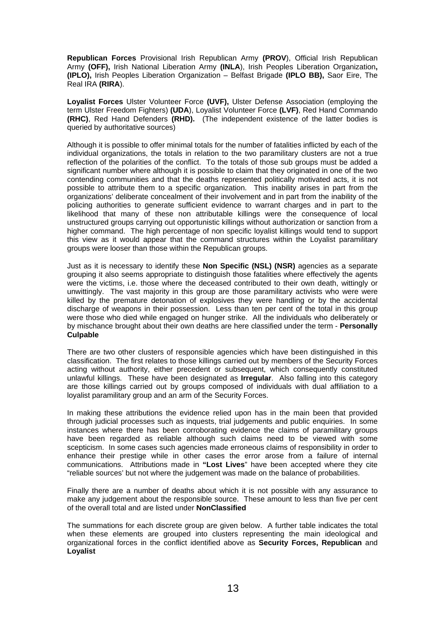**Republican Forces** Provisional Irish Republican Army **(PROV**), Official Irish Republican Army **(OFF),** Irish National Liberation Army **(INLA**), Irish Peoples Liberation Organization**, (IPLO),** Irish Peoples Liberation Organization – Belfast Brigade **(IPLO BB),** Saor Eire, The Real IRA **(RIRA**).

**Loyalist Forces** Ulster Volunteer Force **(UVF),** Ulster Defense Association (employing the term Ulster Freedom Fighters) **(UDA**), Loyalist Volunteer Force **(LVF)**, Red Hand Commando **(RHC)**, Red Hand Defenders **(RHD).** (The independent existence of the latter bodies is queried by authoritative sources)

Although it is possible to offer minimal totals for the number of fatalities inflicted by each of the individual organizations, the totals in relation to the two paramilitary clusters are not a true reflection of the polarities of the conflict. To the totals of those sub groups must be added a significant number where although it is possible to claim that they originated in one of the two contending communities and that the deaths represented politically motivated acts, it is not possible to attribute them to a specific organization. This inability arises in part from the organizations' deliberate concealment of their involvement and in part from the inability of the policing authorities to generate sufficient evidence to warrant charges and in part to the likelihood that many of these non attributable killings were the consequence of local unstructured groups carrying out opportunistic killings without authorization or sanction from a higher command. The high percentage of non specific loyalist killings would tend to support this view as it would appear that the command structures within the Loyalist paramilitary groups were looser than those within the Republican groups.

Just as it is necessary to identify these **Non Specific (NSL) (NSR)** agencies as a separate grouping it also seems appropriate to distinguish those fatalities where effectively the agents were the victims, i.e. those where the deceased contributed to their own death, wittingly or unwittingly. The vast majority in this group are those paramilitary activists who were were killed by the premature detonation of explosives they were handling or by the accidental discharge of weapons in their possession. Less than ten per cent of the total in this group were those who died while engaged on hunger strike. All the individuals who deliberately or by mischance brought about their own deaths are here classified under the term - **Personally Culpable** 

There are two other clusters of responsible agencies which have been distinguished in this classification. The first relates to those killings carried out by members of the Security Forces acting without authority, either precedent or subsequent, which consequently constituted unlawful killings. These have been designated as **Irregular**. Also falling into this category are those killings carried out by groups composed of individuals with dual affiliation to a loyalist paramilitary group and an arm of the Security Forces.

In making these attributions the evidence relied upon has in the main been that provided through judicial processes such as inquests, trial judgements and public enquiries. In some instances where there has been corroborating evidence the claims of paramilitary groups have been regarded as reliable although such claims need to be viewed with some scepticism. In some cases such agencies made erroneous claims of responsibility in order to enhance their prestige while in other cases the error arose from a failure of internal communications. Attributions made in **"Lost Lives**" have been accepted where they cite "reliable sources' but not where the judgement was made on the balance of probabilities.

Finally there are a number of deaths about which it is not possible with any assurance to make any judgement about the responsible source. These amount to less than five per cent of the overall total and are listed under **NonClassified**

The summations for each discrete group are given below. A further table indicates the total when these elements are grouped into clusters representing the main ideological and organizational forces in the conflict identified above as **Security Forces, Republican** and **Loyalist**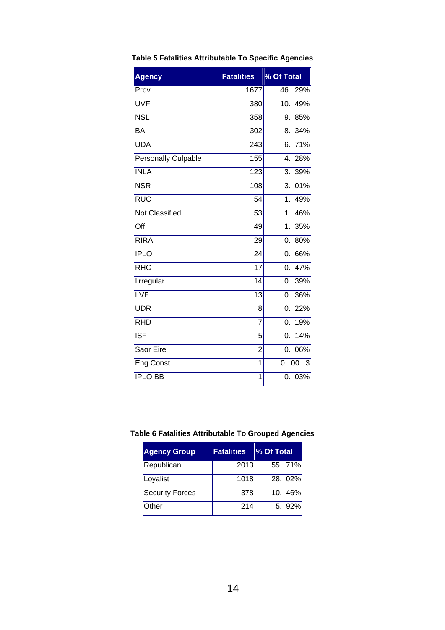| <b>Agency</b>       | <b>Fatalities</b> | % Of Total              |
|---------------------|-------------------|-------------------------|
| Prov                | 1677              | 46.29%                  |
| UVF                 | 380               | 10.49%                  |
| <b>NSL</b>          | 358               | 9. 85%                  |
| <b>BA</b>           | 302               | 34%<br>8.               |
| <b>UDA</b>          | 243               | 6.71%                   |
| Personally Culpable | 155               | 4.<br>28%               |
| <b>INLA</b>         | $\overline{123}$  | $\overline{3}$ .<br>39% |
| <b>NSR</b>          | 108               | 01%<br>3.               |
| RUC                 | 54                | 1 <sub>1</sub><br>49%   |
| Not Classified      | 53                | 1.<br>46%               |
| Off                 | 49                | 1 <sub>1</sub><br>35%   |
| <b>RIRA</b>         | $\overline{29}$   | 80%<br>0.               |
| <b>IPLO</b>         | 24                | 66%<br>0.               |
| RHC                 | 17                | 47%<br>0.               |
| lirregular          | 14                | 0.39%                   |
| LVF                 | $\overline{13}$   | 36%<br>0.               |
| <b>UDR</b>          | 8                 | 0.22%                   |
| <b>RHD</b>          | $\overline{7}$    | 0.<br>19%               |
| <b>ISF</b>          | 5                 | 14%<br>0.               |
| Saor Eire           | $\overline{2}$    | 0.<br>06%               |
| <b>Eng Const</b>    | 1                 | 0.00.3                  |
| <b>IPLO BB</b>      | 1                 | 0.<br>03%               |

### <span id="page-17-0"></span>**Table 5 Fatalities Attributable To Specific Agencies**

### <span id="page-17-1"></span>**Table 6 Fatalities Attributable To Grouped Agencies**

| <b>Agency Group</b>    | <b>Fatalities</b> | % Of Total |
|------------------------|-------------------|------------|
| Republican             | 2013              | 55. 71%    |
| Loyalist               | 1018              | 28. 02%    |
| <b>Security Forces</b> | 378               | 10.46%     |
| Other                  | 214               | $5.92\%$   |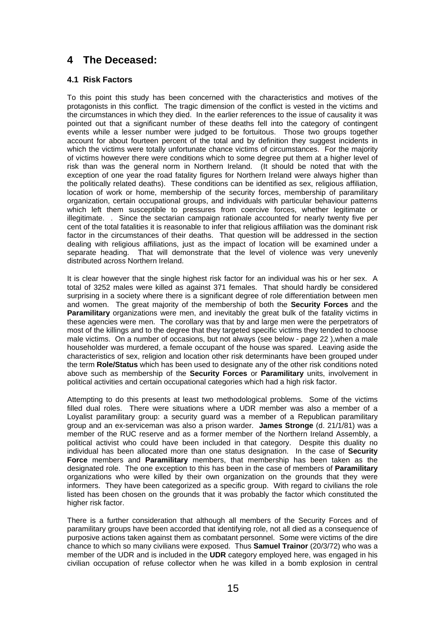### <span id="page-18-0"></span>**4 The Deceased:**

#### <span id="page-18-1"></span>**4.1 Risk Factors**

To this point this study has been concerned with the characteristics and motives of the protagonists in this conflict. The tragic dimension of the conflict is vested in the victims and the circumstances in which they died. In the earlier references to the issue of causality it was pointed out that a significant number of these deaths fell into the category of contingent events while a lesser number were judged to be fortuitous. Those two groups together account for about fourteen percent of the total and by definition they suggest incidents in which the victims were totally unfortunate chance victims of circumstances. For the majority of victims however there were conditions which to some degree put them at a higher level of risk than was the general norm in Northern Ireland. (It should be noted that with the exception of one year the road fatality figures for Northern Ireland were always higher than the politically related deaths). These conditions can be identified as sex, religious affiliation, location of work or home, membership of the security forces, membership of paramilitary organization, certain occupational groups, and individuals with particular behaviour patterns which left them susceptible to pressures from coercive forces, whether legitimate or illegitimate. . Since the sectarian campaign rationale accounted for nearly twenty five per cent of the total fatalities it is reasonable to infer that religious affiliation was the dominant risk factor in the circumstances of their deaths. That question will be addressed in the section dealing with religious affiliations, just as the impact of location will be examined under a separate heading. That will demonstrate that the level of violence was very unevenly distributed across Northern Ireland.

It is clear however that the single highest risk factor for an individual was his or her sex. A total of 3252 males were killed as against 371 females. That should hardly be considered surprising in a society where there is a significant degree of role differentiation between men and women. The great majority of the membership of both the **Security Forces** and the **Paramilitary** organizations were men, and inevitably the great bulk of the fatality victims in these agencies were men. The corollary was that by and large men were the perpetrators of most of the killings and to the degree that they targeted specific victims they tended to choose male victims. On a number of occasions, but not always (see below - page 22 ),when a male householder was murdered, a female occupant of the house was spared. Leaving aside the characteristics of sex, religion and location other risk determinants have been grouped under the term **Role/Status** which has been used to designate any of the other risk conditions noted above such as membership of the **Security Forces** or **Paramilitary** units, involvement in political activities and certain occupational categories which had a high risk factor.

Attempting to do this presents at least two methodological problems. Some of the victims filled dual roles. There were situations where a UDR member was also a member of a Loyalist paramilitary group: a security guard was a member of a Republican paramilitary group and an ex-serviceman was also a prison warder. **James Stronge** (d. 21/1/81) was a member of the RUC reserve and as a former member of the Northern Ireland Assembly, a political activist who could have been included in that category. Despite this duality no individual has been allocated more than one status designation. In the case of **Security Force** members and **Paramilitary** members, that membership has been taken as the designated role. The one exception to this has been in the case of members of **Paramilitary** organizations who were killed by their own organization on the grounds that they were informers. They have been categorized as a specific group. With regard to civilians the role listed has been chosen on the grounds that it was probably the factor which constituted the higher risk factor.

There is a further consideration that although all members of the Security Forces and of paramilitary groups have been accorded that identifying role, not all died as a consequence of purposive actions taken against them as combatant personnel. Some were victims of the dire chance to which so many civilians were exposed. Thus **Samuel Trainor** (20/3/72) who was a member of the UDR and is included in the **UDR** category employed here, was engaged in his civilian occupation of refuse collector when he was killed in a bomb explosion in central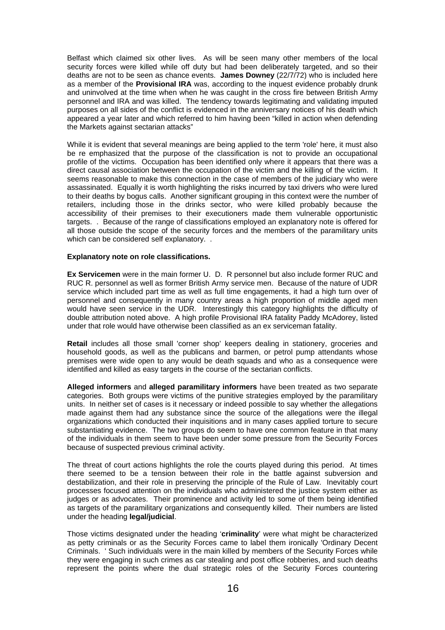Belfast which claimed six other lives. As will be seen many other members of the local security forces were killed while off duty but had been deliberately targeted, and so their deaths are not to be seen as chance events. **James Downey** (22/7/72) who is included here as a member of the **Provisional IRA** was, according to the inquest evidence probably drunk and uninvolved at the time when when he was caught in the cross fire between British Army personnel and IRA and was killed. The tendency towards legitimating and validating imputed purposes on all sides of the conflict is evidenced in the anniversary notices of his death which appeared a year later and which referred to him having been "killed in action when defending the Markets against sectarian attacks"

While it is evident that several meanings are being applied to the term 'role' here, it must also be re emphasized that the purpose of the classification is not to provide an occupational profile of the victims. Occupation has been identified only where it appears that there was a direct causal association between the occupation of the victim and the killing of the victim. It seems reasonable to make this connection in the case of members of the judiciary who were assassinated. Equally it is worth highlighting the risks incurred by taxi drivers who were lured to their deaths by bogus calls. Another significant grouping in this context were the number of retailers, including those in the drinks sector, who were killed probably because the accessibility of their premises to their executioners made them vulnerable opportunistic targets. . Because of the range of classifications employed an explanatory note is offered for all those outside the scope of the security forces and the members of the paramilitary units which can be considered self explanatory. .

#### **Explanatory note on role classifications.**

**Ex Servicemen** were in the main former U. D. R personnel but also include former RUC and RUC R. personnel as well as former British Army service men. Because of the nature of UDR service which included part time as well as full time engagements, it had a high turn over of personnel and consequently in many country areas a high proportion of middle aged men would have seen service in the UDR. Interestingly this category highlights the difficulty of double attribution noted above. A high profile Provisional IRA fatality Paddy McAdorey, listed under that role would have otherwise been classified as an ex serviceman fatality.

**Retail** includes all those small 'corner shop' keepers dealing in stationery, groceries and household goods, as well as the publicans and barmen, or petrol pump attendants whose premises were wide open to any would be death squads and who as a consequence were identified and killed as easy targets in the course of the sectarian conflicts.

**Alleged informers** and **alleged paramilitary informers** have been treated as two separate categories. Both groups were victims of the punitive strategies employed by the paramilitary units. In neither set of cases is it necessary or indeed possible to say whether the allegations made against them had any substance since the source of the allegations were the illegal organizations which conducted their inquisitions and in many cases applied torture to secure substantiating evidence. The two groups do seem to have one common feature in that many of the individuals in them seem to have been under some pressure from the Security Forces because of suspected previous criminal activity.

The threat of court actions highlights the role the courts played during this period. At times there seemed to be a tension between their role in the battle against subversion and destabilization, and their role in preserving the principle of the Rule of Law. Inevitably court processes focused attention on the individuals who administered the justice system either as judges or as advocates. Their prominence and activity led to some of them being identified as targets of the paramilitary organizations and consequently killed. Their numbers are listed under the heading **legal/judicial**.

Those victims designated under the heading '**criminality**' were what might be characterized as petty criminals or as the Security Forces came to label them ironically 'Ordinary Decent Criminals. ' Such individuals were in the main killed by members of the Security Forces while they were engaging in such crimes as car stealing and post office robberies, and such deaths represent the points where the dual strategic roles of the Security Forces countering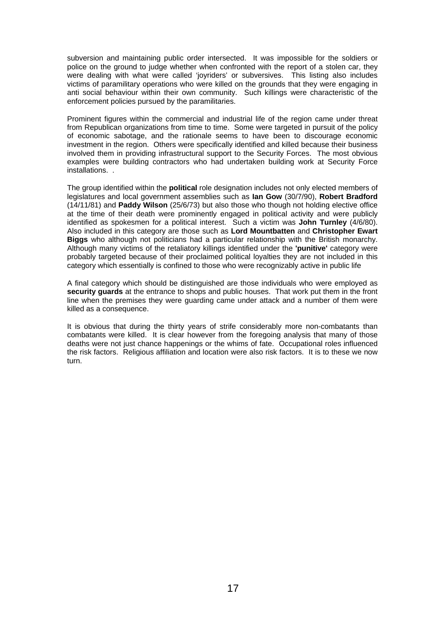subversion and maintaining public order intersected. It was impossible for the soldiers or police on the ground to judge whether when confronted with the report of a stolen car, they were dealing with what were called 'joyriders' or subversives. This listing also includes victims of paramilitary operations who were killed on the grounds that they were engaging in anti social behaviour within their own community. Such killings were characteristic of the enforcement policies pursued by the paramilitaries.

Prominent figures within the commercial and industrial life of the region came under threat from Republican organizations from time to time. Some were targeted in pursuit of the policy of economic sabotage, and the rationale seems to have been to discourage economic investment in the region. Others were specifically identified and killed because their business involved them in providing infrastructural support to the Security Forces. The most obvious examples were building contractors who had undertaken building work at Security Force installations. .

The group identified within the **political** role designation includes not only elected members of legislatures and local government assemblies such as **Ian Gow** (30/7/90), **Robert Bradford** (14/11/81) and **Paddy Wilson** (25/6/73) but also those who though not holding elective office at the time of their death were prominently engaged in political activity and were publicly identified as spokesmen for a political interest. Such a victim was **John Turnley** (4/6/80). Also included in this category are those such as **Lord Mountbatten** and **Christopher Ewart Biggs** who although not politicians had a particular relationship with the British monarchy. Although many victims of the retaliatory killings identified under the **'punitive'** category were probably targeted because of their proclaimed political loyalties they are not included in this category which essentially is confined to those who were recognizably active in public life

A final category which should be distinguished are those individuals who were employed as **security guards** at the entrance to shops and public houses. That work put them in the front line when the premises they were guarding came under attack and a number of them were killed as a consequence.

It is obvious that during the thirty years of strife considerably more non-combatants than combatants were killed. It is clear however from the foregoing analysis that many of those deaths were not just chance happenings or the whims of fate. Occupational roles influenced the risk factors. Religious affiliation and location were also risk factors. It is to these we now turn.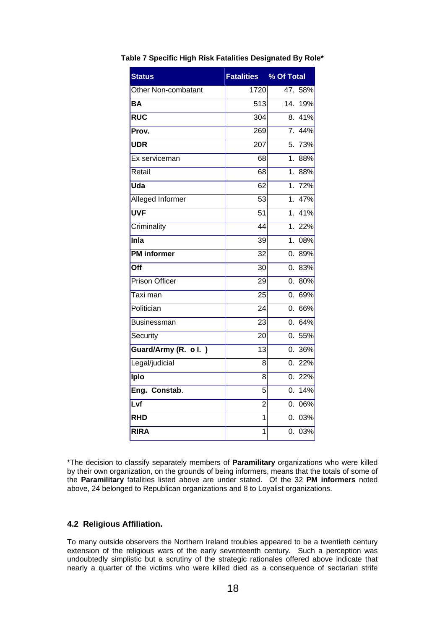| <b>Status</b>         | <b>Fatalities</b> | % Of Total              |
|-----------------------|-------------------|-------------------------|
| Other Non-combatant   | 1720              | 47. 58%                 |
| <b>BA</b>             | 513               | 14.<br>19%              |
| <b>RUC</b>            | 304               | 41%<br>8.               |
| Prov.                 | 269               | 7.44%                   |
| <b>UDR</b>            | 207               | $\overline{5.73}$ %     |
| Ex serviceman         | 68                | 1 <sub>1</sub><br>88%   |
| Retail                | 68                | 88%<br>1 <sub>1</sub>   |
| Uda                   | 62                | 1. 72%                  |
| Alleged Informer      | 53                | 47%<br>$1_{-}$          |
| <b>UVF</b>            | $\overline{51}$   | 41%<br>1 <sup>1</sup>   |
| Criminality           | 44                | 1.22%                   |
| Inla                  | 39                | $\overline{1}$ .<br>08% |
| <b>PM</b> informer    | $\overline{32}$   | 89%<br>0.               |
| Off                   | 30                | 83%<br>0.               |
| <b>Prison Officer</b> | 29                | 80%<br>0.               |
| Taxi man              | $\overline{25}$   | 69%<br>0.               |
| Politician            | 24                | 66%<br>0.               |
| <b>Businessman</b>    | 23                | 0.64%                   |
| Security              | 20                | 55%<br>0.               |
| Guard/Army (R. ol.)   | 13                | 36%<br>0.               |
| Legal/judicial        | 8                 | 22%<br>0.               |
| Iplo                  | 8                 | 0.22%                   |
| Eng. Constab.         | 5                 | 14%<br>0.               |
| Lvf                   | $\overline{2}$    | 06%<br>0.               |
| <b>RHD</b>            | $\overline{1}$    | 03%<br>0.               |
| <b>RIRA</b>           | $\overline{1}$    | 03%<br>0.               |

#### <span id="page-21-1"></span>**Table 7 Specific High Risk Fatalities Designated By Role\***

\*The decision to classify separately members of **Paramilitary** organizations who were killed by their own organization, on the grounds of being informers, means that the totals of some of the **Paramilitary** fatalities listed above are under stated. Of the 32 **PM informers** noted above, 24 belonged to Republican organizations and 8 to Loyalist organizations.

#### <span id="page-21-0"></span>**4.2 Religious Affiliation.**

To many outside observers the Northern Ireland troubles appeared to be a twentieth century extension of the religious wars of the early seventeenth century. Such a perception was undoubtedly simplistic but a scrutiny of the strategic rationales offered above indicate that nearly a quarter of the victims who were killed died as a consequence of sectarian strife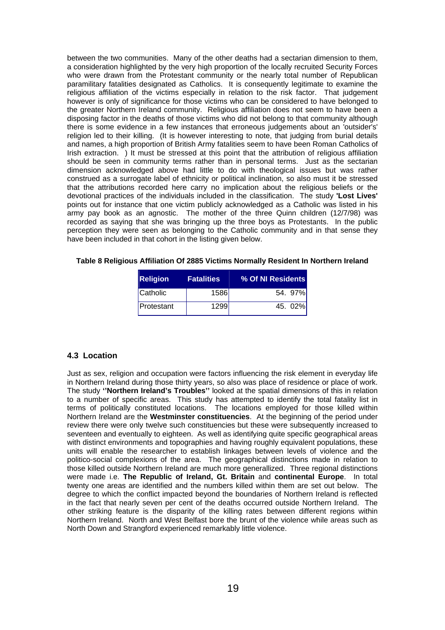between the two communities. Many of the other deaths had a sectarian dimension to them, a consideration highlighted by the very high proportion of the locally recruited Security Forces who were drawn from the Protestant community or the nearly total number of Republican paramilitary fatalities designated as Catholics. It is consequently legitimate to examine the religious affiliation of the victims especially in relation to the risk factor. That judgement however is only of significance for those victims who can be considered to have belonged to the greater Northern Ireland community. Religious affiliation does not seem to have been a disposing factor in the deaths of those victims who did not belong to that community although there is some evidence in a few instances that erroneous judgements about an 'outsider's' religion led to their killing. (It is however interesting to note, that judging from burial details and names, a high proportion of British Army fatalities seem to have been Roman Catholics of Irish extraction. ) It must be stressed at this point that the attribution of religious affiliation should be seen in community terms rather than in personal terms. Just as the sectarian dimension acknowledged above had little to do with theological issues but was rather construed as a surrogate label of ethnicity or political inclination, so also must it be stressed that the attributions recorded here carry no implication about the religious beliefs or the devotional practices of the individuals included in the classification. The study **'Lost Lives'** points out for instance that one victim publicly acknowledged as a Catholic was listed in his army pay book as an agnostic. The mother of the three Quinn children (12/7/98) was recorded as saying that she was bringing up the three boys as Protestants. In the public perception they were seen as belonging to the Catholic community and in that sense they have been included in that cohort in the listing given below.

<span id="page-22-1"></span>**Table 8 Religious Affiliation Of 2885 Victims Normally Resident In Northern Ireland** 

| <b>Religion</b> | <b>Fatalities</b> | % Of NI Residents |
|-----------------|-------------------|-------------------|
| Catholic        | 1586              | 54 97%            |
| Protestant      | 1299l             | 45.02%            |

#### <span id="page-22-0"></span>**4.3 Location**

Just as sex, religion and occupation were factors influencing the risk element in everyday life in Northern Ireland during those thirty years, so also was place of residence or place of work. The study **''Northern Ireland's Troubles''** looked at the spatial dimensions of this in relation to a number of specific areas. This study has attempted to identify the total fatality list in terms of politically constituted locations. The locations employed for those killed within Northern Ireland are the **Westminster constituencies**. At the beginning of the period under review there were only twelve such constituencies but these were subsequently increased to seventeen and eventually to eighteen. As well as identifying quite specific geographical areas with distinct environments and topographies and having roughly equivalent populations, these units will enable the researcher to establish linkages between levels of violence and the politico-social complexions of the area. The geographical distinctions made in relation to those killed outside Northern Ireland are much more generallized. Three regional distinctions were made i.e. **The Republic of Ireland, Gt. Britain** and **continental Europe**. In total twenty one areas are identified and the numbers killed within them are set out below. The degree to which the conflict impacted beyond the boundaries of Northern Ireland is reflected in the fact that nearly seven per cent of the deaths occurred outside Northern Ireland. The other striking feature is the disparity of the killing rates between different regions within Northern Ireland. North and West Belfast bore the brunt of the violence while areas such as North Down and Strangford experienced remarkably little violence.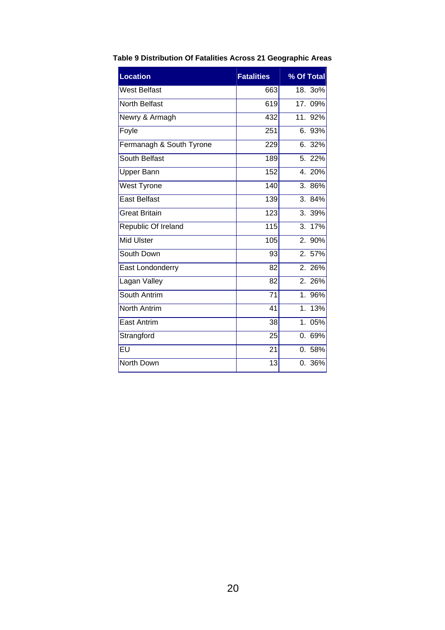| <b>Location</b>                   | <b>Fatalities</b> | % Of Total            |
|-----------------------------------|-------------------|-----------------------|
| West Belfast                      | 663               | $18.30\%$             |
| <b>North Belfast</b>              | 619               | 17.09%                |
| Newry & Armagh                    | 432               | 11.92%                |
| Foyle                             | 251               | 6. 93%                |
| Fermanagh & South Tyrone          | 229               | 6. 32%                |
| <b>South Belfast</b>              | 189               | 5. 22%                |
| <b>Upper Bann</b>                 | 152               | 4.20%                 |
| <b>West Tyrone</b>                | 140               | 3.86%                 |
| <b>East Belfast</b>               | 139               | 3. 84%                |
| <b>Great Britain</b>              | 123               | 3. 39%                |
| Republic Of Ireland               | 115               | 3. 17%                |
| <b>Mid Ulster</b>                 | 105               | 2. 90%                |
| South Down                        | 93                | 2. 57%                |
| East Londonderry                  | 82                | 2.26%                 |
| Lagan Valley                      | 82                | 2. 26%                |
| South Antrim                      | $\overline{71}$   | 1.96%                 |
| <b>North Antrim</b>               | 41                | 13%<br>1 <sub>1</sub> |
| <b>East Antrim</b>                | 38                | 05%<br>1 <sup>1</sup> |
| Strangford                        | 25                | 0. 69%                |
| $\overline{\mathsf{E}\mathsf{U}}$ | 21                | 0.58%                 |
| North Down                        | 13                | 0. 36%                |

### <span id="page-23-0"></span>**Table 9 Distribution Of Fatalities Across 21 Geographic Areas**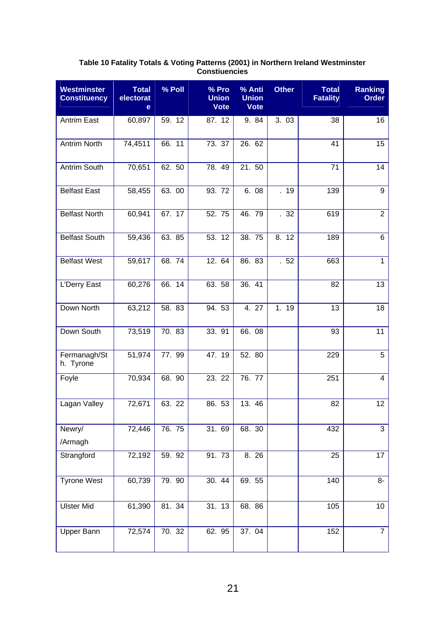#### **Table 10 Fatality Totals & Voting Patterns (2001) in Northern Ireland Westminster Constiuencies**

<span id="page-24-0"></span>

| <b>Westminster</b><br><b>Constituency</b> | <b>Total</b><br>electorat<br>e | % Poll | $%$ Pro<br><b>Union</b><br><b>Vote</b> | % Anti<br><b>Union</b><br><b>Vote</b> | <b>Other</b> | <b>Total</b><br><b>Fatality</b> | <b>Ranking</b><br><b>Order</b> |
|-------------------------------------------|--------------------------------|--------|----------------------------------------|---------------------------------------|--------------|---------------------------------|--------------------------------|
| <b>Antrim East</b>                        | 60,897                         | 59. 12 | 87. 12                                 | 9. 84                                 | 3.03         | 38                              | 16                             |
| <b>Antrim North</b>                       | 74,4511                        | 66.11  | 73. 37                                 | 26. 62                                |              | 41                              | 15                             |
| Antrim South                              | 70,651                         | 62.50  | 78.49                                  | 21.50                                 |              | 71                              | 14                             |
| <b>Belfast East</b>                       | 58,455                         | 63.00  | 93. 72                                 | 6.08                                  | .19          | 139                             | 9                              |
| <b>Belfast North</b>                      | 60,941                         | 67.17  | 52.75                                  | 46.79                                 | .32          | 619                             | $\overline{2}$                 |
| <b>Belfast South</b>                      | 59,436                         | 63.85  | 53. 12                                 | 38.75                                 | 8. 12        | 189                             | 6                              |
| <b>Belfast West</b>                       | 59,617                         | 68.74  | 12. 64                                 | 86. 83                                | .52          | 663                             | $\mathbf{1}$                   |
| L'Derry East                              | 60,276                         | 66. 14 | 63. 58                                 | 36.41                                 |              | 82                              | 13                             |
| Down North                                | 63,212                         | 58.83  | 94.53                                  | 4.27                                  | 1. 19        | 13                              | 18                             |
| Down South                                | 73,519                         | 70.83  | 33.91                                  | 66.08                                 |              | 93                              | 11                             |
| Fermanagh/St<br>h. Tyrone                 | 51,974                         | 77.99  | 47.19                                  | 52.80                                 |              | 229                             | $\overline{5}$                 |
| Foyle                                     | 70,934                         | 68.90  | 23. 22                                 | 76.77                                 |              | 251                             | $\overline{4}$                 |
| Lagan Valley                              | 72,671                         | 63.22  | 86. 53                                 | 13.46                                 |              | 82                              | 12                             |
| Newry/<br>/Armagh                         | 72,446                         | 76.75  | 31.69                                  | 68. 30                                |              | 432                             | $\overline{3}$                 |
| Strangford                                | 72,192                         | 59.92  | 91.73                                  | 8.26                                  |              | $\overline{25}$                 | $\overline{17}$                |
| <b>Tyrone West</b>                        | 60,739                         | 79. 90 | 30.44                                  | 69.55                                 |              | 140                             | 8-                             |
| <b>Ulster Mid</b>                         | 61,390                         | 81.34  | 31.13                                  | 68.86                                 |              | 105                             | 10                             |
| <b>Upper Bann</b>                         | 72,574                         | 70.32  | 62.95                                  | 37.04                                 |              | 152                             | $\overline{7}$                 |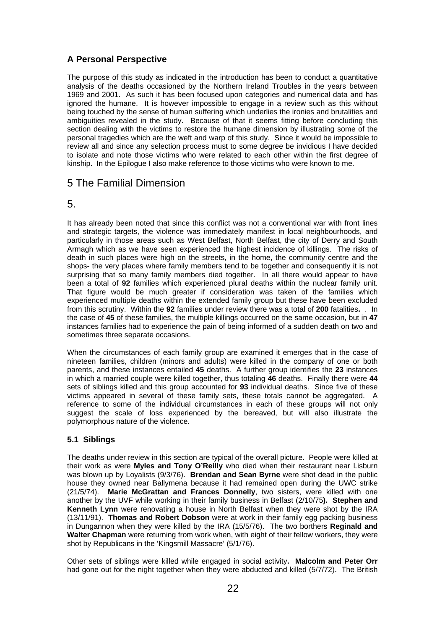### **A Personal Perspective**

The purpose of this study as indicated in the introduction has been to conduct a quantitative analysis of the deaths occasioned by the Northern Ireland Troubles in the years between 1969 and 2001. As such it has been focused upon categories and numerical data and has ignored the humane. It is however impossible to engage in a review such as this without being touched by the sense of human suffering which underlies the ironies and brutalities and ambiguities revealed in the study. Because of that it seems fitting before concluding this section dealing with the victims to restore the humane dimension by illustrating some of the personal tragedies which are the weft and warp of this study. Since it would be impossible to review all and since any selection process must to some degree be invidious I have decided to isolate and note those victims who were related to each other within the first degree of kinship. In the Epilogue I also make reference to those victims who were known to me.

### <span id="page-25-0"></span>5 The Familial Dimension

### 5.

It has already been noted that since this conflict was not a conventional war with front lines and strategic targets, the violence was immediately manifest in local neighbourhoods, and particularly in those areas such as West Belfast, North Belfast, the city of Derry and South Armagh which as we have seen experienced the highest incidence of killings. The risks of death in such places were high on the streets, in the home, the community centre and the shops- the very places where family members tend to be together and consequently it is not surprising that so many family members died together. In all there would appear to have been a total of **92** families which experienced plural deaths within the nuclear family unit. That figure would be much greater if consideration was taken of the families which experienced multiple deaths within the extended family group but these have been excluded from this scrutiny. Within the **92** families under review there was a total of **200** fatalities**.** . In the case of **45** of these families, the multiple killings occurred on the same occasion, but in **47**  instances families had to experience the pain of being informed of a sudden death on two and sometimes three separate occasions.

When the circumstances of each family group are examined it emerges that in the case of nineteen families, children (minors and adults) were killed in the company of one or both parents, and these instances entailed **45** deaths. A further group identifies the **23** instances in which a married couple were killed together, thus totaling **46** deaths. Finally there were **44** sets of siblings killed and this group accounted for **93** individual deaths. Since five of these victims appeared in several of these family sets, these totals cannot be aggregated. A reference to some of the individual circumstances in each of these groups will not only suggest the scale of loss experienced by the bereaved, but will also illustrate the polymorphous nature of the violence.

### <span id="page-25-1"></span>**5.1 Siblings**

The deaths under review in this section are typical of the overall picture. People were killed at their work as were **Myles and Tony O'Reilly** who died when their restaurant near Lisburn was blown up by Loyalists (9/3/76). **Brendan and Sean Byrne** were shot dead in the public house they owned near Ballymena because it had remained open during the UWC strike (21/5/74). **Marie McGrattan and Frances Donnelly**, two sisters, were killed with one another by the UVF while working in their family business in Belfast (2/10/75**). Stephen and Kenneth Lynn** were renovating a house in North Belfast when they were shot by the IRA (13/11/91). **Thomas and Robert Dobson** were at work in their family egg packing business in Dungannon when they were killed by the IRA (15/5/76). The two borthers **Reginald and Walter Chapman** were returning from work when, with eight of their fellow workers, they were shot by Republicans in the 'Kingsmill Massacre' (5/1/76).

Other sets of siblings were killed while engaged in social activity**. Malcolm and Peter Orr** had gone out for the night together when they were abducted and killed (5/7/72). The British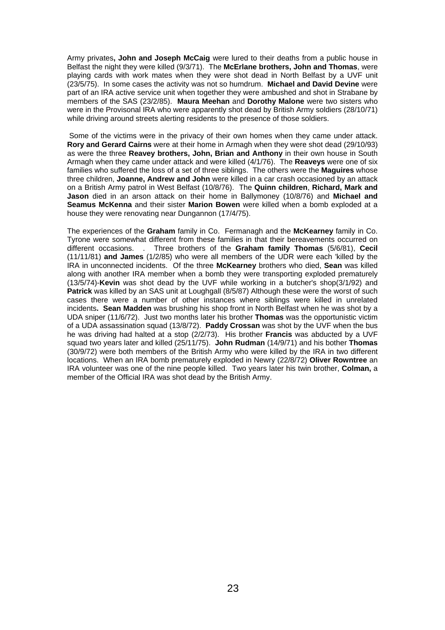Army privates**, John and Joseph McCaig** were lured to their deaths from a public house in Belfast the night they were killed (9/3/71). The **McErlane brothers, John and Thomas**, were playing cards with work mates when they were shot dead in North Belfast by a UVF unit (23/5/75). In some cases the activity was not so humdrum. **Michael and David Devine** were part of an IRA active service unit when together they were ambushed and shot in Strabane by members of the SAS (23/2/85). **Maura Meehan** and **Dorothy Malone** were two sisters who were in the Provisonal IRA who were apparently shot dead by British Army soldiers (28/10/71) while driving around streets alerting residents to the presence of those soldiers.

 Some of the victims were in the privacy of their own homes when they came under attack. **Rory and Gerard Cairns** were at their home in Armagh when they were shot dead (29/10/93) as were the three **Reavey brothers, John, Brian and Anthony** in their own house in South Armagh when they came under attack and were killed (4/1/76). The **Reaveys** were one of six families who suffered the loss of a set of three siblings. The others were the **Maguires** whose three children, **Joanne, Andrew and John** were killed in a car crash occasioned by an attack on a British Army patrol in West Belfast (10/8/76). The **Quinn children**, **Richard, Mark and Jason** died in an arson attack on their home in Ballymoney (10/8/76) and **Michael and Seamus McKenna** and their sister **Marion Bowen** were killed when a bomb exploded at a house they were renovating near Dungannon (17/4/75).

The experiences of the **Graham** family in Co. Fermanagh and the **McKearney** family in Co. Tyrone were somewhat different from these families in that their bereavements occurred on different occasions. . Three brothers of the **Graham family Thomas** (5/6/81), **Cecil**  (11/11/81) **and James** (1/2/85) who were all members of the UDR were each 'killed by the IRA in unconnected incidents. Of the three **McKearney** brothers who died, **Sean** was killed along with another IRA member when a bomb they were transporting exploded prematurely (13/5/74)-**Kevin** was shot dead by the UVF while working in a butcher's shop(3/1/92) and **Patrick** was killed by an SAS unit at Loughgall (8/5/87) Although these were the worst of such cases there were a number of other instances where siblings were killed in unrelated incidents**. Sean Madden** was brushing his shop front in North Belfast when he was shot by a UDA sniper (11/6/72). Just two months later his brother **Thomas** was the opportunistic victim of a UDA assassination squad (13/8/72). **Paddy Crossan** was shot by the UVF when the bus he was driving had halted at a stop (2/2/73). His brother **Francis** was abducted by a UVF squad two years later and killed (25/11/75). **John Rudman** (14/9/71) and his bother **Thomas**  (30/9/72) were both members of the British Army who were killed by the IRA in two different locations. When an IRA bomb prematurely exploded in Newry (22/8/72) **Oliver Rowntree** an IRA volunteer was one of the nine people killed. Two years later his twin brother, **Colman,** a member of the Official IRA was shot dead by the British Army.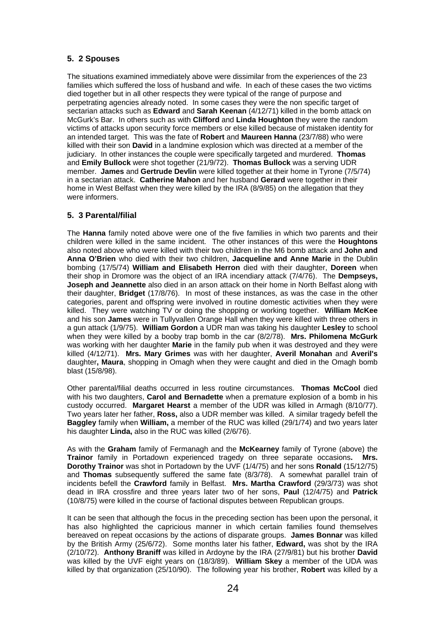#### <span id="page-27-0"></span>**5. 2 Spouses**

The situations examined immediately above were dissimilar from the experiences of the 23 families which suffered the loss of husband and wife. In each of these cases the two victims died together but in all other respects they were typical of the range of purpose and perpetrating agencies already noted. In some cases they were the non specific target of sectarian attacks such as **Edward** and **Sarah Keenan** (4/12/71) killed in the bomb attack on McGurk's Bar. In others such as with **Clifford** and **Linda Houghton** they were the random victims of attacks upon security force members or else killed because of mistaken identity for an intended target. This was the fate of **Robert** and **Maureen Hanna** (23/7/88) who were killed with their son **David** in a landmine explosion which was directed at a member of the judiciary. In other instances the couple were specifically targeted and murdered. **Thomas** and **Emily Bullock** were shot together (21/9/72). **Thomas Bullock** was a serving UDR member. **James** and **Gertrude Devlin** were killed together at their home in Tyrone (7/5/74) in a sectarian attack. **Catherine Mahon** and her husband **Gerard** were together in their home in West Belfast when they were killed by the IRA (8/9/85) on the allegation that they were informers.

#### <span id="page-27-1"></span>**5. 3 Parental/filial**

The **Hanna** family noted above were one of the five families in which two parents and their children were killed in the same incident. The other instances of this were the **Houghtons** also noted above who were killed with their two children in the M6 bomb attack and **John and Anna O'Brien** who died with their two children, **Jacqueline and Anne Marie** in the Dublin bombing (17/5/74) **William and Elisabeth Herron** died with their daughter, **Doreen** when their shop in Dromore was the object of an IRA incendiary attack (7/4/76). The **Dempseys, Joseph and Jeannette** also died in an arson attack on their home in North Belfast along with their daughter, **Bridget** (17/8/76). In most of these instances, as was the case in the other categories, parent and offspring were involved in routine domestic activities when they were killed. They were watching TV or doing the shopping or working together. **William McKee**  and his son **James** were in Tullyvallen Orange Hall when they were killed with three others in a gun attack (1/9/75). **William Gordon** a UDR man was taking his daughter **Lesley** to school when they were killed by a booby trap bomb in the car (8/2/78). **Mrs. Philomena McGurk** was working with her daughter **Marie** in the family pub when it was destroyed and they were killed (4/12/71). **Mrs. Mary Grimes** was with her daughter, **Averil Monahan** and **Averil's** daughter**, Maura**, shopping in Omagh when they were caught and died in the Omagh bomb blast (15/8/98).

Other parental/filial deaths occurred in less routine circumstances. **Thomas McCool** died with his two daughters, **Carol and Bernadette** when a premature explosion of a bomb in his custody occurred. **Margaret Hearst** a member of the UDR was killed in Armagh (8/10/77). Two years later her father, **Ross,** also a UDR member was killed. A similar tragedy befell the **Baggley** family when **William,** a member of the RUC was killed (29/1/74) and two years later his daughter **Linda,** also in the RUC was killed (2/6/76).

As with the **Graham** family of Fermanagh and the **McKearney** family of Tyrone (above) the **Trainor** family in Portadown experienced tragedy on three separate occasions**. Mrs. Dorothy Trainor** was shot in Portadown by the UVF (1/4/75) and her sons **Ronald** (15/12/75) and **Thomas** subsequently suffered the same fate (8/3/78). A somewhat parallel train of incidents befell the **Crawford** family in Belfast. **Mrs. Martha Crawford** (29/3/73) was shot dead in IRA crossfire and three years later two of her sons, **Paul** (12/4/75) and **Patrick**  (10/8/75) were killed in the course of factional disputes between Republican groups.

It can be seen that although the focus in the preceding section has been upon the personal, it has also highlighted the capricious manner in which certain families found themselves bereaved on repeat occasions by the actions of disparate groups. **James Bonnar** was killed by the British Army (25/6/72). Some months later his father, **Edward,** was shot by the IRA (2/10/72). **Anthony Braniff** was killed in Ardoyne by the IRA (27/9/81) but his brother **David** was killed by the UVF eight years on (18/3/89). **William Skey** a member of the UDA was killed by that organization (25/10/90). The following year his brother, **Robert** was killed by a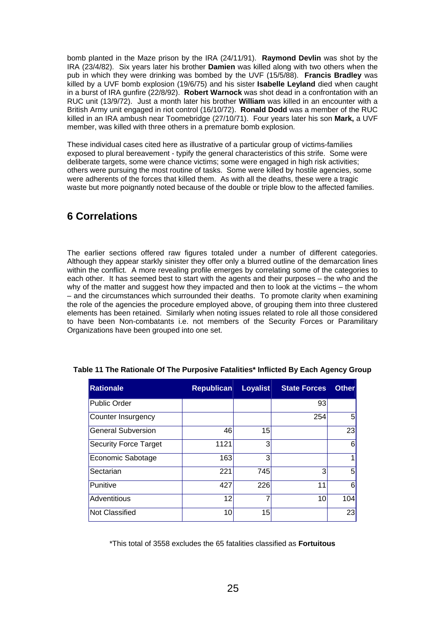bomb planted in the Maze prison by the IRA (24/11/91). **Raymond Devlin** was shot by the IRA (23/4/82). Six years later his brother **Damien** was killed along with two others when the pub in which they were drinking was bombed by the UVF (15/5/88). **Francis Bradley** was killed by a UVF bomb explosion (19/6/75) and his sister **Isabelle Leyland** died when caught in a burst of IRA gunfire (22/8/92). **Robert Warnock** was shot dead in a confrontation with an RUC unit (13/9/72). Just a month later his brother **William** was killed in an encounter with a British Army unit engaged in riot control (16/10/72). **Ronald Dodd** was a member of the RUC killed in an IRA ambush near Toomebridge (27/10/71). Four years later his son **Mark,** a UVF member, was killed with three others in a premature bomb explosion.

These individual cases cited here as illustrative of a particular group of victims-families exposed to plural bereavement - typify the general characteristics of this strife. Some were deliberate targets, some were chance victims; some were engaged in high risk activities; others were pursuing the most routine of tasks. Some were killed by hostile agencies, some were adherents of the forces that killed them. As with all the deaths, these were a tragic waste but more poignantly noted because of the double or triple blow to the affected families.

### <span id="page-28-0"></span>**6 Correlations**

The earlier sections offered raw figures totaled under a number of different categories. Although they appear starkly sinister they offer only a blurred outline of the demarcation lines within the conflict. A more revealing profile emerges by correlating some of the categories to each other. It has seemed best to start with the agents and their purposes – the who and the why of the matter and suggest how they impacted and then to look at the victims – the whom – and the circumstances which surrounded their deaths. To promote clarity when examining the role of the agencies the procedure employed above, of grouping them into three clustered elements has been retained. Similarly when noting issues related to role all those considered to have been Non-combatants i.e. not members of the Security Forces or Paramilitary Organizations have been grouped into one set.

| <b>Rationale</b>             | <b>Republican</b> | Loyalist | <b>State Forces</b> | <b>Other</b>   |
|------------------------------|-------------------|----------|---------------------|----------------|
| <b>Public Order</b>          |                   |          | 93                  |                |
| <b>Counter Insurgency</b>    |                   |          | 254                 | 51             |
| <b>General Subversion</b>    | 46                | 15       |                     | 23             |
| <b>Security Force Target</b> | 1121              | 3        |                     | $6\vert$       |
| Economic Sabotage            | 163               | 3        |                     | 1              |
| Sectarian                    | 221               | 745      | 3                   | 5 <sup>1</sup> |
| Punitive                     | 427               | 226      | 11                  | $6\vert$       |
| <b>Adventitious</b>          | 12                |          | 10                  | 104            |
| <b>Not Classified</b>        | 10                | 15       |                     | 23             |

#### <span id="page-28-1"></span>**Table 11 The Rationale Of The Purposive Fatalities\* Inflicted By Each Agency Group**

\*This total of 3558 excludes the 65 fatalities classified as **Fortuitous**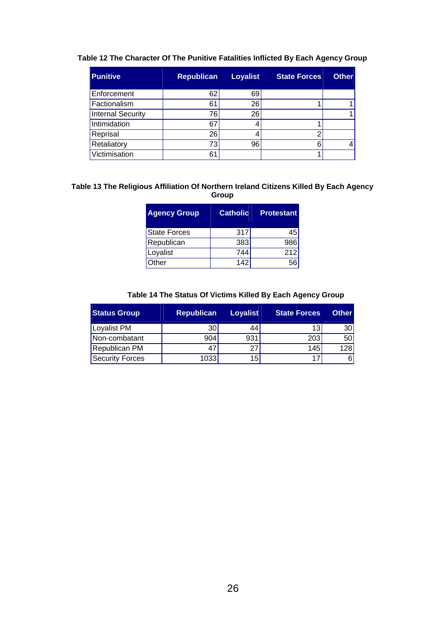| <b>Punitive</b>          | Republican | <b>Loyalist</b> | <b>State Forces</b> | Other |
|--------------------------|------------|-----------------|---------------------|-------|
| Enforcement              | 62         | 69              |                     |       |
| Factionalism             | 61         | 26              |                     |       |
| <b>Internal Security</b> | 76         | 26              |                     |       |
| Intimidation             | 67         |                 |                     |       |
| Reprisal                 | 26         |                 | r                   |       |
| Retaliatory              | 73         | 96              |                     |       |
| Victimisation            | 6.         |                 |                     |       |

#### <span id="page-29-0"></span>**Table 12 The Character Of The Punitive Fatalities Inflicted By Each Agency Group**

#### <span id="page-29-1"></span>**Table 13 The Religious Affiliation Of Northern Ireland Citizens Killed By Each Agency Group**

| <b>Agency Group</b> | <b>Catholic</b> | <b>Protestant</b> |
|---------------------|-----------------|-------------------|
| <b>State Forces</b> | 317             | 45                |
| Republican          | 383             | 986               |
| Loyalist            | 744             | 212               |
| Other               | 142             |                   |

#### **Table 14 The Status Of Victims Killed By Each Agency Group**

<span id="page-29-2"></span>

| <b>Status Group</b> | <b>Republican</b> | <b>Loyalist</b> | <b>State Forces</b> | <b>Other</b>    |
|---------------------|-------------------|-----------------|---------------------|-----------------|
| Loyalist PM         | 30                | 44              | 13                  | 30 <sup>1</sup> |
| Non-combatant       | 904               | 931             | 203                 | 50 <sub>1</sub> |
| Republican PM       | 47                | 27              | 145                 | 128             |
| Security Forces     | 1033              | 15              | 17                  | 61              |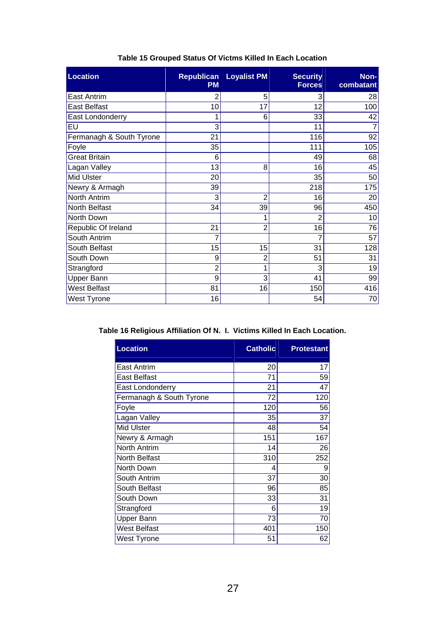| <b>Location</b>          | <b>Republican</b><br><b>PM</b> | <b>Loyalist PM</b> | <b>Security</b><br><b>Forces</b> | Non-<br>combatant |
|--------------------------|--------------------------------|--------------------|----------------------------------|-------------------|
| <b>East Antrim</b>       | 2                              | 5                  | 3                                | 28                |
| <b>East Belfast</b>      | 10                             | 17                 | 12                               | 100               |
| East Londonderry         | 1                              | 6                  | 33                               | 42                |
| EU                       | 3                              |                    | 11                               | $\overline{7}$    |
| Fermanagh & South Tyrone | 21                             |                    | 116                              | 92                |
| Foyle                    | 35                             |                    | 111                              | 105               |
| <b>Great Britain</b>     | 6                              |                    | 49                               | 68                |
| Lagan Valley             | 13                             | 8                  | 16                               | 45                |
| <b>Mid Ulster</b>        | 20                             |                    | 35                               | 50                |
| Newry & Armagh           | 39                             |                    | 218                              | 175               |
| North Antrim             | 3                              | $\overline{2}$     | 16                               | 20                |
| North Belfast            | 34                             | 39                 | 96                               | 450               |
| North Down               |                                |                    |                                  | 10                |
| Republic Of Ireland      | 21                             | $\overline{2}$     | 16                               | 76                |
| South Antrim             | 7                              |                    |                                  | 57                |
| South Belfast            | 15                             | 15                 | 31                               | 128               |
| South Down               | 9                              | 2                  | 51                               | 31                |
| Strangford               | $\overline{2}$                 |                    | 3                                | 19                |
| Upper Bann               | 9                              | 3                  | 41                               | 99                |
| <b>West Belfast</b>      | 81                             | 16                 | 150                              | 416               |
| West Tyrone              | 16                             |                    | 54                               | 70                |

#### **Table 15 Grouped Status Of Victms Killed In Each Location**

<span id="page-30-1"></span><span id="page-30-0"></span>**Table 16 Religious Affiliation Of N. I. Victims Killed In Each Location.** 

| <b>Location</b>          | <b>Catholic</b> | <b>Protestant</b> |
|--------------------------|-----------------|-------------------|
| East Antrim              | 20              | 17                |
| East Belfast             | 71              | 59                |
| East Londonderry         | 21              | 47                |
| Fermanagh & South Tyrone | 72              | 120               |
| Foyle                    | 120             | 56                |
| Lagan Valley             | 35              | 37                |
| Mid Ulster               | 48              | 54                |
| Newry & Armagh           | 151             | 167               |
| North Antrim             | 14              | 26                |
| North Belfast            | 310             | 252               |
| North Down               | 4               | 9                 |
| South Antrim             | 37              | 30                |
| South Belfast            | 96              | 85                |
| South Down               | 33              | 31                |
| Strangford               | 6               | 19                |
| Upper Bann               | 73              | 70                |
| <b>West Belfast</b>      | 401             | 150               |
| West Tyrone              | 51              | 62                |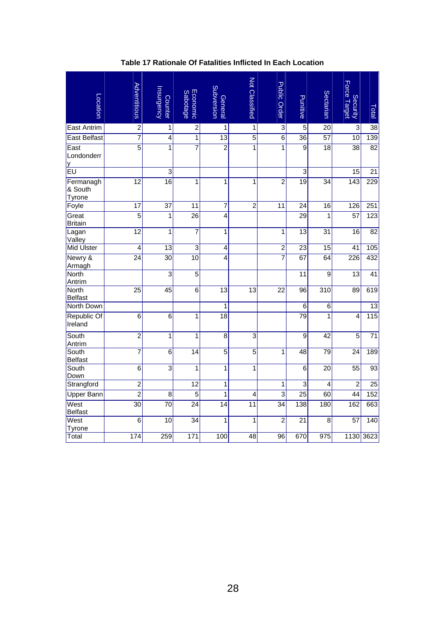<span id="page-31-0"></span>

| Location                       | Adventitious     | hsurgency<br><b>Counter</b> | Economic<br><b>Sabotage</b> | <b>Subversion</b><br>General | Not Classified          | <b>Public Order</b>     | Punitive        | Sectarian       | Force Target<br><b>Security</b> | Total            |
|--------------------------------|------------------|-----------------------------|-----------------------------|------------------------------|-------------------------|-------------------------|-----------------|-----------------|---------------------------------|------------------|
| <b>East Antrim</b>             | $\overline{2}$   | $\mathbf 1$                 | $\overline{2}$              | 1                            | $\overline{1}$          | $\overline{3}$          | $\overline{5}$  | $\overline{20}$ | $\overline{3}$                  | $\overline{38}$  |
| <b>East Belfast</b>            | $\overline{7}$   | $\overline{\mathbf{4}}$     | $\mathbf 1$                 | 13                           | $\overline{5}$          | 6                       | $\overline{36}$ | 57              | 10                              | 139              |
| East<br>Londonderr<br>у        | $\overline{5}$   | 1                           | 7                           | $\overline{2}$               | 1                       | 1                       | 9               | 18              | 38                              | 82               |
| EU                             |                  | 3                           |                             |                              |                         |                         | 3               |                 | 15                              | 21               |
| Fermanagh<br>& South<br>Tyrone | $\overline{12}$  | $\overline{16}$             | 1                           | 1                            | 1                       | $\overline{c}$          | $\overline{19}$ | 34              | $\overline{143}$                | $\overline{229}$ |
| Foyle                          | $\overline{17}$  | $\overline{37}$             | $\overline{11}$             | $\overline{7}$               | $\overline{2}$          | $\overline{11}$         | $\overline{24}$ | $\overline{16}$ | 126                             | 251              |
| Great<br><b>Britain</b>        | $\overline{5}$   | 1                           | $\overline{26}$             | 4                            |                         |                         | 29              | $\mathbf{1}$    | $\overline{57}$                 | $\overline{123}$ |
| Lagan<br>Valley                | $\overline{12}$  | 1                           | $\overline{7}$              | 1                            |                         | 1                       | 13              | 31              | 16                              | $\overline{82}$  |
| <b>Mid Ulster</b>              | $\overline{4}$   | $\overline{13}$             | $\overline{3}$              | 4                            |                         | $\overline{2}$          | $\overline{23}$ | $\overline{15}$ | $\overline{41}$                 | 105              |
| Newry &<br>Armagh              | $\overline{24}$  | $\overline{30}$             | $\overline{10}$             | 4                            |                         | $\overline{7}$          | $\overline{67}$ | 64              | $\overline{226}$                | 432              |
| <b>North</b><br>Antrim         |                  | $\overline{3}$              | $\overline{5}$              |                              |                         |                         | $\overline{11}$ | $\overline{9}$  | $\overline{13}$                 | $\overline{41}$  |
| <b>North</b><br><b>Belfast</b> | $\overline{25}$  | 45                          | 6                           | 13                           | 13                      | 22                      | 96              | 310             | 89                              | 619              |
| North Down                     |                  |                             |                             | 1                            |                         |                         | 6               | 6               |                                 | 13               |
| Republic Of<br>Ireland         | $\overline{6}$   | $\overline{6}$              | 1                           | $\overline{18}$              |                         |                         | $\overline{79}$ | 1               | 4                               | 115              |
| South<br>Antrim                | $\overline{2}$   | 1                           | 1                           | $\overline{8}$               | $\overline{\mathbf{3}}$ |                         | $\overline{9}$  | $\overline{42}$ | $\overline{5}$                  | $\overline{71}$  |
| South<br><b>Belfast</b>        | $\overline{7}$   | $\overline{6}$              | $\overline{14}$             | $\overline{5}$               | $\overline{5}$          | $\overline{1}$          | $\overline{48}$ | $\overline{79}$ | $\overline{24}$                 | 189              |
| South<br>Down                  | 6                | $\overline{3}$              | 1                           | 1                            | 1                       |                         | 6               | 20              | 55                              | 93               |
| Strangford                     | $\overline{c}$   |                             | $\overline{12}$             | $\mathbf 1$                  |                         | 1                       | 3               | $\overline{4}$  | $\overline{2}$                  | 25               |
| <b>Upper Bann</b>              | $\overline{2}$   | $\overline{8}$              | $\overline{5}$              | $\overline{1}$               | 4                       | $\overline{\mathbf{3}}$ | $\overline{25}$ | 60              | 44                              | 152              |
| West<br><b>Belfast</b>         | $\overline{30}$  | $\overline{70}$             | $\overline{24}$             | $\overline{14}$              | $\overline{11}$         | $\overline{34}$         | 138             | 180             | 162                             | 663              |
| West<br>Tyrone                 | $\overline{6}$   | $\overline{10}$             | $\overline{34}$             | 1                            | 1                       | $\overline{2}$          | $\overline{21}$ | 8               | $\overline{57}$                 | 140              |
| Total                          | $\overline{174}$ | 259                         | $\frac{1}{171}$             | 100                          | 48                      | 96                      | 670             | 975             | 1130                            | 3623             |

**Table 17 Rationale Of Fatalities Inflicted In Each Location**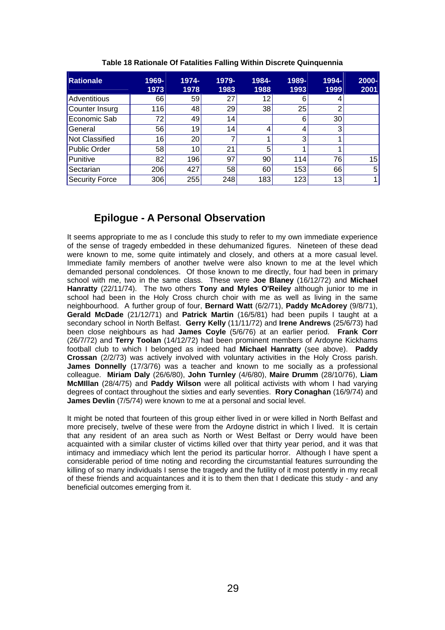<span id="page-32-1"></span>

| <b>Rationale</b>      | 1969-<br>1973   | 1974-<br>1978 | 1979-<br>1983 | 1984-<br>1988 | 1989-<br>1993 | 1994-<br>1999 | 2000-<br>2001  |
|-----------------------|-----------------|---------------|---------------|---------------|---------------|---------------|----------------|
| Adventitious          | 66              | 59            | 27            | 12            | 6             |               |                |
| Counter Insurg        | 116             | 48            | 29            | 38            | 25            | ◠             |                |
| Economic Sab          | 72              | 49            | 14            |               | 6             | 30            |                |
| General               | 56              | 19            | 14            | 4             | 4             | 3             |                |
| Not Classified        | 16 <sub>1</sub> | 20            |               |               | 3             |               |                |
| <b>Public Order</b>   | 58              | 10            | 21            | 5             |               |               |                |
| Punitive              | 82              | 196           | 97            | 90            | 114           | 76            | 15             |
| Sectarian             | 206             | 427           | 58            | 60            | 153           | 66            | 5              |
| <b>Security Force</b> | 306             | 255           | 248           | 183           | 123           | 13            | 1 <sub>1</sub> |

**Table 18 Rationale Of Fatalities Falling Within Discrete Quinquennia** 

### **Epilogue - A Personal Observation**

<span id="page-32-0"></span>It seems appropriate to me as I conclude this study to refer to my own immediate experience of the sense of tragedy embedded in these dehumanized figures. Nineteen of these dead were known to me, some quite intimately and closely, and others at a more casual level. Immediate family members of another twelve were also known to me at the level which demanded personal condolences. Of those known to me directly, four had been in primary school with me, two in the same class. These were **Joe Blaney** (16/12/72) and **Michael Hanratty** (22/11/74). The two others **Tony and Myles O'Reiley** although junior to me in school had been in the Holy Cross church choir with me as well as living in the same neighbourhood. A further group of four, **Bernard Watt** (6/2/71), **Paddy McAdorey** (9/8/71), **Gerald McDade** (21/12/71) and **Patrick Martin** (16/5/81) had been pupils I taught at a secondary school in North Belfast. **Gerry Kelly** (11/11/72) and **Irene Andrews** (25/6/73) had been close neighbours as had **James Coyle** (5/6/76) at an earlier period. **Frank Corr** (26/7/72) and **Terry Toolan** (14/12/72) had been prominent members of Ardoyne Kickhams football club to which I belonged as indeed had **Michael Hanratty** (see above). **Paddy Crossan** (2/2/73) was actively involved with voluntary activities in the Holy Cross parish. **James Donnelly** (17/3/76) was a teacher and known to me socially as a professional colleague. **Miriam Daly** (26/6/80), **John Turnley** (4/6/80), **Maire Drumm** (28/10/76), **Liam McMIllan** (28/4/75) and **Paddy Wilson** were all political activists with whom I had varying degrees of contact throughout the sixties and early seventies. **Rory Conaghan** (16/9/74) and **James Devlin** (7/5/74) were known to me at a personal and social level.

It might be noted that fourteen of this group either lived in or were killed in North Belfast and more precisely, twelve of these were from the Ardoyne district in which I lived. It is certain that any resident of an area such as North or West Belfast or Derry would have been acquainted with a similar cluster of victims killed over that thirty year period, and it was that intimacy and immediacy which lent the period its particular horror. Although I have spent a considerable period of time noting and recording the circumstantial features surrounding the killing of so many individuals I sense the tragedy and the futility of it most potently in my recall of these friends and acquaintances and it is to them then that I dedicate this study - and any beneficial outcomes emerging from it.